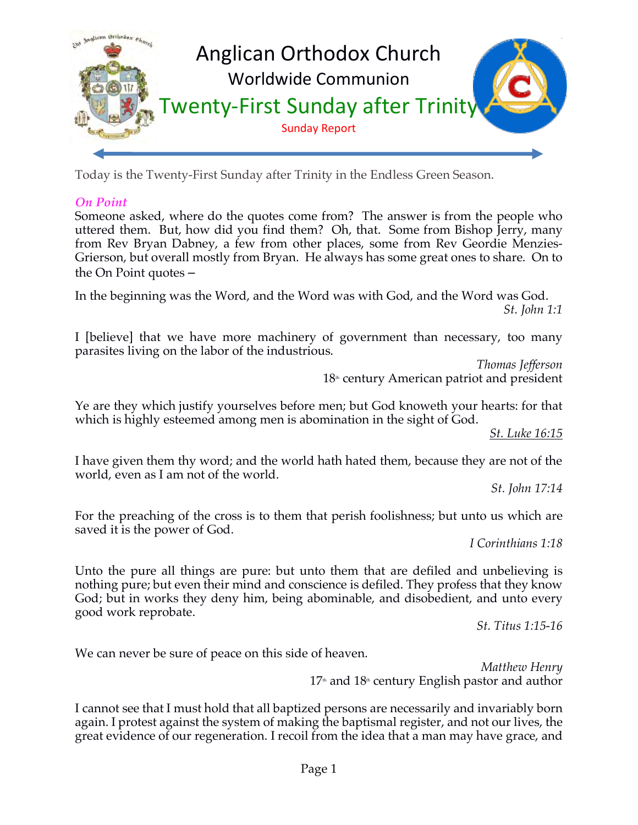

Today is the Twenty-First Sunday after Trinity in the Endless Green Season.

## *On Point*

Someone asked, where do the quotes come from? The answer is from the people who uttered them. But, how did you find them? Oh, that. Some from Bishop Jerry, many from Rev Bryan Dabney, a few from other places, some from Rev Geordie Menzies-Grierson, but overall mostly from Bryan. He always has some great ones to share. On to the On Point quotes –

In the beginning was the Word, and the Word was with God, and the Word was God. *St. John 1:1*

I [believe] that we have more machinery of government than necessary, too many parasites living on the labor of the industrious.

*Thomas Jefferson*  $18<sup>th</sup>$  century American patriot and president

Ye are they which justify yourselves before men; but God knoweth your hearts: for that which is highly esteemed among men is abomination in the sight of God.

*St. Luke 16:15*

I have given them thy word; and the world hath hated them, because they are not of the world, even as I am not of the world.

*St. John 17:14*

For the preaching of the cross is to them that perish foolishness; but unto us which are saved it is the power of God.

*I Corinthians 1:18*

Unto the pure all things are pure: but unto them that are defiled and unbelieving is nothing pure; but even their mind and conscience is defiled. They profess that they know God; but in works they deny him, being abominable, and disobedient, and unto every good work reprobate.

*St. Titus 1:15-16*

We can never be sure of peace on this side of heaven.

*Matthew Henry*  $17<sup>th</sup>$  and  $18<sup>th</sup>$  century English pastor and author

I cannot see that I must hold that all baptized persons are necessarily and invariably born again. I protest against the system of making the baptismal register, and not our lives, the great evidence of our regeneration. I recoil from the idea that a man may have grace, and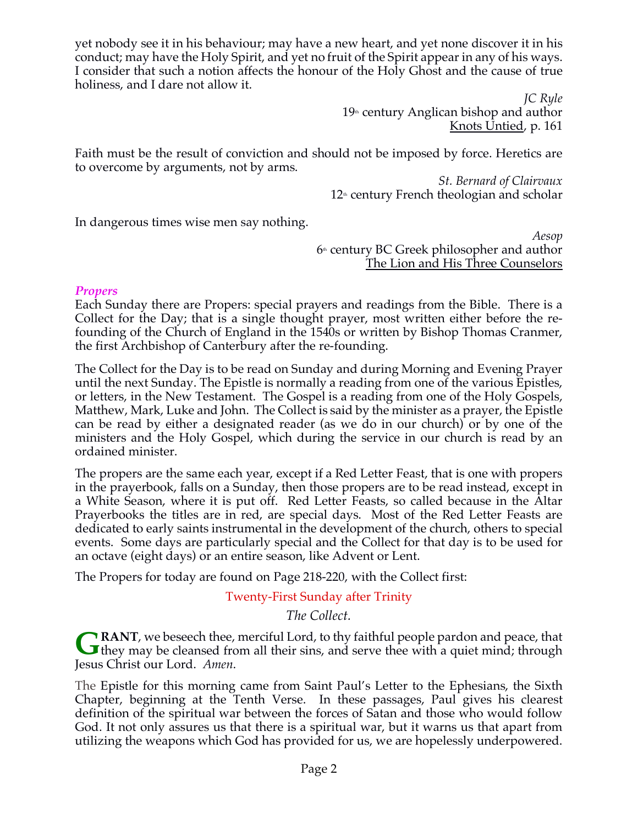yet nobody see it in his behaviour; may have a new heart, and yet none discover it in his conduct; may have the Holy Spirit, and yet no fruit of the Spirit appear in any of his ways. I consider that such a notion affects the honour of the Holy Ghost and the cause of true holiness, and I dare not allow it.

> *JC Ryle*  $19<sup>th</sup>$  century Anglican bishop and author Knots Untied, p. 161

Faith must be the result of conviction and should not be imposed by force. Heretics are to overcome by arguments, not by arms.

> *St. Bernard of Clairvaux*  $12<sup>th</sup>$  century French theologian and scholar

In dangerous times wise men say nothing.

*Aesop*  $6<sup>th</sup>$  century BC Greek philosopher and author The Lion and His Three Counselors

#### *Propers*

Each Sunday there are Propers: special prayers and readings from the Bible. There is a Collect for the Day; that is a single thought prayer, most written either before the refounding of the Church of England in the 1540s or written by Bishop Thomas Cranmer, the first Archbishop of Canterbury after the re-founding.

The Collect for the Day is to be read on Sunday and during Morning and Evening Prayer until the next Sunday. The Epistle is normally a reading from one of the various Epistles, or letters, in the New Testament. The Gospel is a reading from one of the Holy Gospels, Matthew, Mark, Luke and John. The Collect is said by the minister as a prayer, the Epistle can be read by either a designated reader (as we do in our church) or by one of the ministers and the Holy Gospel, which during the service in our church is read by an ordained minister.

The propers are the same each year, except if a Red Letter Feast, that is one with propers in the prayerbook, falls on a Sunday, then those propers are to be read instead, except in a White Season, where it is put off. Red Letter Feasts, so called because in the Altar Prayerbooks the titles are in red, are special days. Most of the Red Letter Feasts are dedicated to early saints instrumental in the development of the church, others to special events. Some days are particularly special and the Collect for that day is to be used for an octave (eight days) or an entire season, like Advent or Lent.

The Propers for today are found on Page 218-220, with the Collect first:

## Twenty-First Sunday after Trinity

*The Collect.*

**RANT**, we beseech thee, merciful Lord, to thy faithful people pardon and peace, that **G** RANT, we beseech thee, merciful Lord, to thy faithful people pardon and peace, that they may be cleansed from all their sins, and serve thee with a quiet mind; through Jesus Christ our Lord. *Amen*.

The Epistle for this morning came from Saint Paul's Letter to the Ephesians, the Sixth Chapter, beginning at the Tenth Verse. In these passages, Paul gives his clearest definition of the spiritual war between the forces of Satan and those who would follow God. It not only assures us that there is a spiritual war, but it warns us that apart from utilizing the weapons which God has provided for us, we are hopelessly underpowered.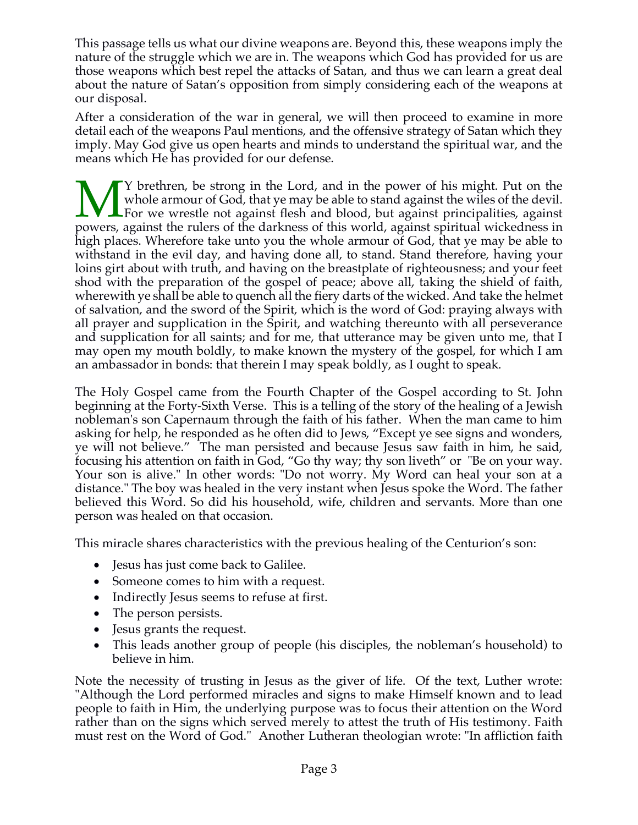This passage tells us what our divine weapons are. Beyond this, these weapons imply the nature of the struggle which we are in. The weapons which God has provided for us are those weapons which best repel the attacks of Satan, and thus we can learn a great deal about the nature of Satan's opposition from simply considering each of the weapons at our disposal.

After a consideration of the war in general, we will then proceed to examine in more detail each of the weapons Paul mentions, and the offensive strategy of Satan which they imply. May God give us open hearts and minds to understand the spiritual war, and the means which He has provided for our defense.

Y brethren, be strong in the Lord, and in the power of his might. Put on the whole armour of God, that ye may be able to stand against the wiles of the devil.  $\sqrt{\frac{1}{\pi}}$  For we wrestle not against flesh and blood, but against principalities, against Whole armour of God, that ye may be able to stand against the wiles of the devil.<br>For we wrestle not against flesh and blood, but against principalities, against powers, against the rulers of the darkness of this world, ag high places. Wherefore take unto you the whole armour of God, that ye may be able to withstand in the evil day, and having done all, to stand. Stand therefore, having your loins girt about with truth, and having on the breastplate of righteousness; and your feet shod with the preparation of the gospel of peace; above all, taking the shield of faith, wherewith ye shall be able to quench all the fiery darts of the wicked. And take the helmet of salvation, and the sword of the Spirit, which is the word of God: praying always with all prayer and supplication in the Spirit, and watching thereunto with all perseverance and supplication for all saints; and for me, that utterance may be given unto me, that I may open my mouth boldly, to make known the mystery of the gospel, for which I am an ambassador in bonds: that therein I may speak boldly, as I ought to speak.

The Holy Gospel came from the Fourth Chapter of the Gospel according to St. John beginning at the Forty-Sixth Verse. This is a telling of the story of the healing of a Jewish nobleman's son Capernaum through the faith of his father. When the man came to him asking for help, he responded as he often did to Jews, "Except ye see signs and wonders, ye will not believe." The man persisted and because Jesus saw faith in him, he said, focusing his attention on faith in God, "Go thy way; thy son liveth" or "Be on your way. Your son is alive." In other words: "Do not worry. My Word can heal your son at a distance." The boy was healed in the very instant when Jesus spoke the Word. The father believed this Word. So did his household, wife, children and servants. More than one person was healed on that occasion.

This miracle shares characteristics with the previous healing of the Centurion's son:

- Jesus has just come back to Galilee.
- Someone comes to him with a request.
- Indirectly Jesus seems to refuse at first.
- The person persists.
- Jesus grants the request.
- This leads another group of people (his disciples, the nobleman's household) to believe in him.

Note the necessity of trusting in Jesus as the giver of life. Of the text, Luther wrote: "Although the Lord performed miracles and signs to make Himself known and to lead people to faith in Him, the underlying purpose was to focus their attention on the Word rather than on the signs which served merely to attest the truth of His testimony. Faith must rest on the Word of God." Another Lutheran theologian wrote: "In affliction faith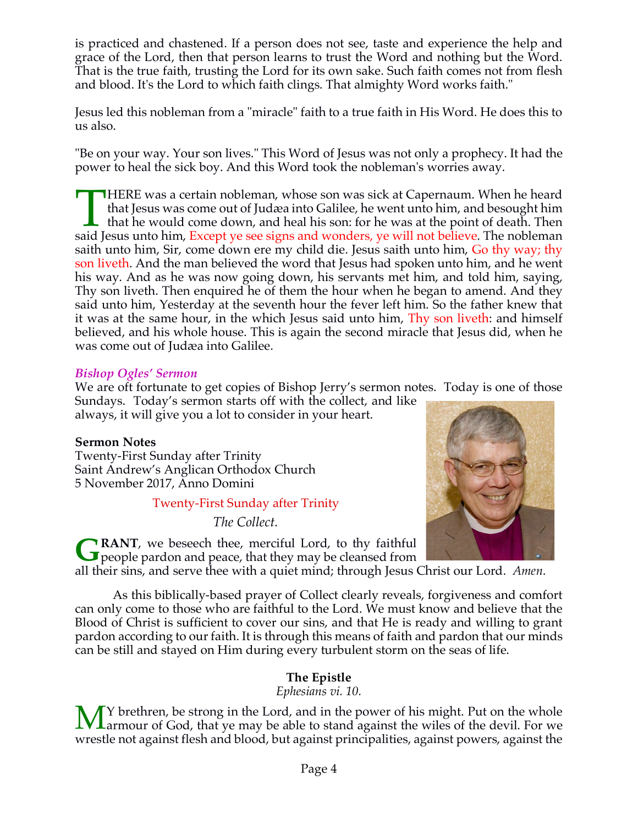is practiced and chastened. If a person does not see, taste and experience the help and grace of the Lord, then that person learns to trust the Word and nothing but the Word. That is the true faith, trusting the Lord for its own sake. Such faith comes not from flesh and blood. It's the Lord to which faith clings. That almighty Word works faith."

Jesus led this nobleman from a "miracle" faith to a true faith in His Word. He does this to us also.

"Be on your way. Your son lives." This Word of Jesus was not only a prophecy. It had the power to heal the sick boy. And this Word took the nobleman's worries away.

HERE was a certain nobleman, whose son was sick at Capernaum. When he heard that Jesus was come out of Judæa into Galilee, he went unto him, and besought him I that he would come down, and heal his son: for he was at the point of death. Then IMERE was a certain nobleman, whose son was sick at Capernaum. When he heard that Jesus was come out of Judæa into Galilee, he went unto him, and besought him that he would come down, and heal his son: for he was at the po saith unto him, Sir, come down ere my child die. Jesus saith unto him, Go thy way; thy son liveth. And the man believed the word that Jesus had spoken unto him, and he went his way. And as he was now going down, his servants met him, and told him, saying, Thy son liveth. Then enquired he of them the hour when he began to amend. And they said unto him, Yesterday at the seventh hour the fever left him. So the father knew that it was at the same hour, in the which Jesus said unto him, Thy son liveth: and himself believed, and his whole house. This is again the second miracle that Jesus did, when he was come out of Judæa into Galilee.

#### *Bishop Ogles' Sermon*

We are oft fortunate to get copies of Bishop Jerry's sermon notes. Today is one of those

Sundays. Today's sermon starts off with the collect, and like always, it will give you a lot to consider in your heart.

## **Sermon Notes**

Twenty-First Sunday after Trinity Saint Andrew's Anglican Orthodox Church 5 November 2017, Anno Domini

Twenty-First Sunday after Trinity

*The Collect.*



**RANT**, we beseech thee, merciful Lord, to thy faithful **G** RANT, we beseech thee, merciful Lord, to thy faithful people pardon and peace, that they may be cleansed from

all their sins, and serve thee with a quiet mind; through Jesus Christ our Lord. *Amen*.

As this biblically-based prayer of Collect clearly reveals, forgiveness and comfort can only come to those who are faithful to the Lord. We must know and believe that the Blood of Christ is sufficient to cover our sins, and that He is ready and willing to grant pardon according to our faith. It is through this means of faith and pardon that our minds can be still and stayed on Him during every turbulent storm on the seas of life.

# **The Epistle**

*Ephesians vi. 10.*

Y brethren, be strong in the Lord, and in the power of his might. Put on the whole Larmour of God, that ye may be able to stand against the wiles of the devil. For we wrestle not against flesh and blood, but against principalities, against powers, against the M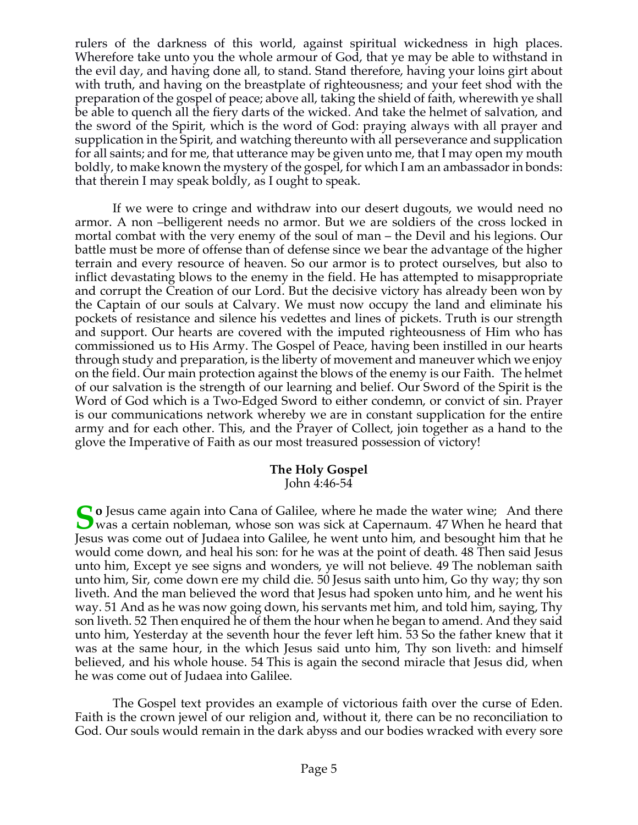rulers of the darkness of this world, against spiritual wickedness in high places. Wherefore take unto you the whole armour of God, that ye may be able to withstand in the evil day, and having done all, to stand. Stand therefore, having your loins girt about with truth, and having on the breastplate of righteousness; and your feet shod with the preparation of the gospel of peace; above all, taking the shield of faith, wherewith ye shall be able to quench all the fiery darts of the wicked. And take the helmet of salvation, and the sword of the Spirit, which is the word of God: praying always with all prayer and supplication in the Spirit, and watching thereunto with all perseverance and supplication for all saints; and for me, that utterance may be given unto me, that I may open my mouth boldly, to make known the mystery of the gospel, for which I am an ambassador in bonds: that therein I may speak boldly, as I ought to speak.

If we were to cringe and withdraw into our desert dugouts, we would need no armor. A non –belligerent needs no armor. But we are soldiers of the cross locked in mortal combat with the very enemy of the soul of man – the Devil and his legions. Our battle must be more of offense than of defense since we bear the advantage of the higher terrain and every resource of heaven. So our armor is to protect ourselves, but also to inflict devastating blows to the enemy in the field. He has attempted to misappropriate and corrupt the Creation of our Lord. But the decisive victory has already been won by the Captain of our souls at Calvary. We must now occupy the land and eliminate his pockets of resistance and silence his vedettes and lines of pickets. Truth is our strength and support. Our hearts are covered with the imputed righteousness of Him who has commissioned us to His Army. The Gospel of Peace, having been instilled in our hearts through study and preparation, is the liberty of movement and maneuver which we enjoy on the field. Our main protection against the blows of the enemy is our Faith. The helmet of our salvation is the strength of our learning and belief. Our Sword of the Spirit is the Word of God which is a Two-Edged Sword to either condemn, or convict of sin. Prayer is our communications network whereby we are in constant supplication for the entire army and for each other. This, and the Prayer of Collect, join together as a hand to the glove the Imperative of Faith as our most treasured possession of victory!

#### **The Holy Gospel** John 4:46-54

**S o** Jesus came again into Cana of Galilee, where he made the water wine; And there was a certain nobleman, whose son was sick at Capernaum. 47 When he heard that was a certain nobleman, whose son was sick at Capernaum. 47 When he heard that Jesus was come out of Judaea into Galilee, he went unto him, and besought him that he would come down, and heal his son: for he was at the point of death. 48 Then said Jesus unto him, Except ye see signs and wonders, ye will not believe. 49 The nobleman saith unto him, Sir, come down ere my child die. 50 Jesus saith unto him, Go thy way; thy son liveth. And the man believed the word that Jesus had spoken unto him, and he went his way. 51 And as he was now going down, his servants met him, and told him, saying, Thy son liveth. 52 Then enquired he of them the hour when he began to amend. And they said unto him, Yesterday at the seventh hour the fever left him. 53 So the father knew that it was at the same hour, in the which Jesus said unto him, Thy son liveth: and himself believed, and his whole house. 54 This is again the second miracle that Jesus did, when he was come out of Judaea into Galilee.

The Gospel text provides an example of victorious faith over the curse of Eden. Faith is the crown jewel of our religion and, without it, there can be no reconciliation to God. Our souls would remain in the dark abyss and our bodies wracked with every sore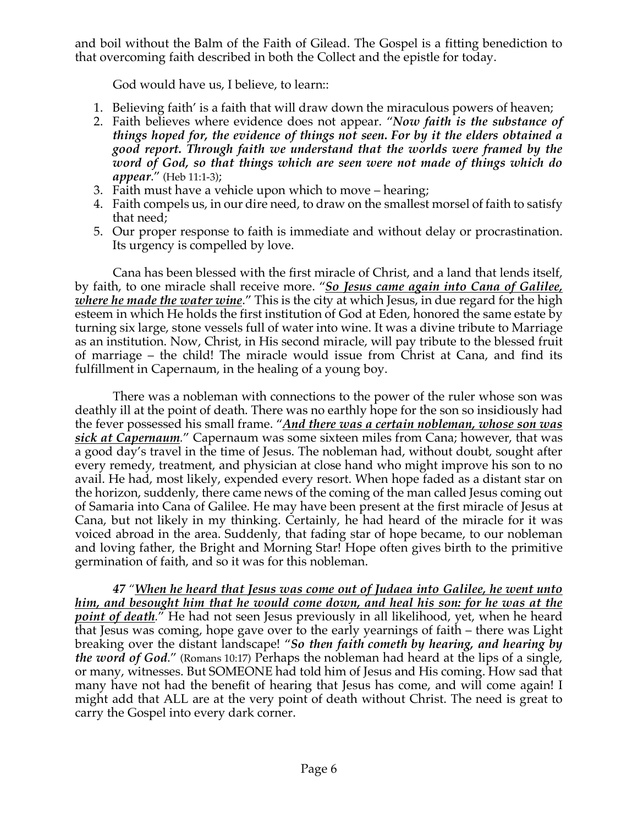and boil without the Balm of the Faith of Gilead. The Gospel is a fitting benediction to that overcoming faith described in both the Collect and the epistle for today.

God would have us, I believe, to learn::

- 1. Believing faith' is a faith that will draw down the miraculous powers of heaven;
- 2. Faith believes where evidence does not appear. "*Now faith is the substance of things hoped for, the evidence of things not seen. For by it the elders obtained a good report. Through faith we understand that the worlds were framed by the word of God, so that things which are seen were not made of things which do appear*." (Heb 11:1-3);
- 3. Faith must have a vehicle upon which to move hearing;
- 4. Faith compels us, in our dire need, to draw on the smallest morsel of faith to satisfy that need;
- 5. Our proper response to faith is immediate and without delay or procrastination. Its urgency is compelled by love.

Cana has been blessed with the first miracle of Christ, and a land that lends itself, by faith, to one miracle shall receive more. "*So Jesus came again into Cana of Galilee, where he made the water wine*." This is the city at which Jesus, in due regard for the high esteem in which He holds the first institution of God at Eden, honored the same estate by turning six large, stone vessels full of water into wine. It was a divine tribute to Marriage as an institution. Now, Christ, in His second miracle, will pay tribute to the blessed fruit of marriage – the child! The miracle would issue from Christ at Cana, and find its fulfillment in Capernaum, in the healing of a young boy.

There was a nobleman with connections to the power of the ruler whose son was deathly ill at the point of death. There was no earthly hope for the son so insidiously had the fever possessed his small frame. "*And there was a certain nobleman, whose son was sick at Capernaum.*" Capernaum was some sixteen miles from Cana; however, that was a good day's travel in the time of Jesus. The nobleman had, without doubt, sought after every remedy, treatment, and physician at close hand who might improve his son to no avail. He had, most likely, expended every resort. When hope faded as a distant star on the horizon, suddenly, there came news of the coming of the man called Jesus coming out of Samaria into Cana of Galilee. He may have been present at the first miracle of Jesus at Cana, but not likely in my thinking. Certainly, he had heard of the miracle for it was voiced abroad in the area. Suddenly, that fading star of hope became, to our nobleman and loving father, the Bright and Morning Star! Hope often gives birth to the primitive germination of faith, and so it was for this nobleman.

*47 "When he heard that Jesus was come out of Judaea into Galilee, he went unto him, and besought him that he would come down, and heal his son: for he was at the point of death.*" He had not seen Jesus previously in all likelihood, yet, when he heard that Jesus was coming, hope gave over to the early yearnings of faith – there was Light breaking over the distant landscape! "*So then faith cometh by hearing, and hearing by the word of God*." (Romans 10:17) Perhaps the nobleman had heard at the lips of a single, or many, witnesses. But SOMEONE had told him of Jesus and His coming. How sad that many have not had the benefit of hearing that Jesus has come, and will come again! I might add that ALL are at the very point of death without Christ. The need is great to carry the Gospel into every dark corner.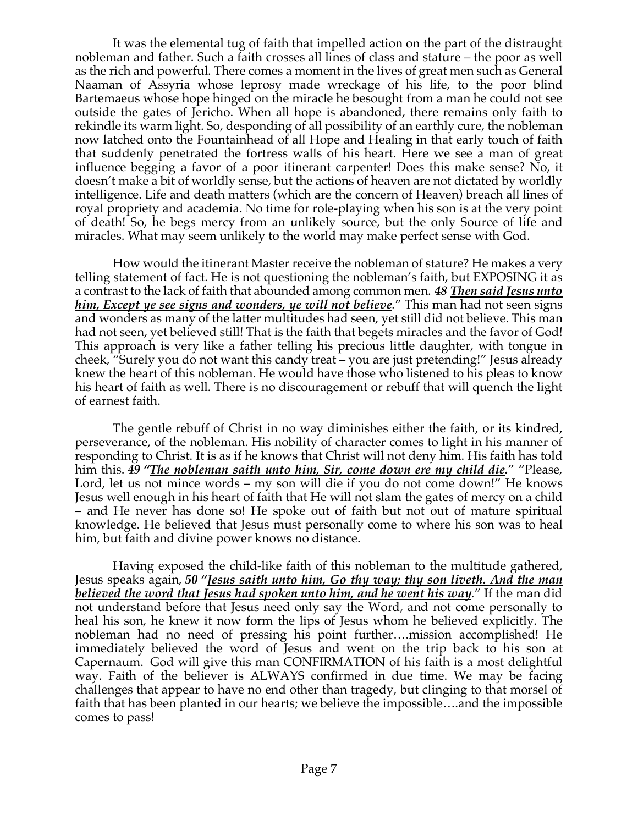It was the elemental tug of faith that impelled action on the part of the distraught nobleman and father. Such a faith crosses all lines of class and stature – the poor as well as the rich and powerful. There comes a moment in the lives of great men such as General Naaman of Assyria whose leprosy made wreckage of his life, to the poor blind Bartemaeus whose hope hinged on the miracle he besought from a man he could not see outside the gates of Jericho. When all hope is abandoned, there remains only faith to rekindle its warm light. So, desponding of all possibility of an earthly cure, the nobleman now latched onto the Fountainhead of all Hope and Healing in that early touch of faith that suddenly penetrated the fortress walls of his heart. Here we see a man of great influence begging a favor of a poor itinerant carpenter! Does this make sense? No, it doesn't make a bit of worldly sense, but the actions of heaven are not dictated by worldly intelligence. Life and death matters (which are the concern of Heaven) breach all lines of royal propriety and academia. No time for role-playing when his son is at the very point of death! So, he begs mercy from an unlikely source, but the only Source of life and miracles. What may seem unlikely to the world may make perfect sense with God.

How would the itinerant Master receive the nobleman of stature? He makes a very telling statement of fact. He is not questioning the nobleman's faith, but EXPOSING it as a contrast to the lack of faith that abounded among common men. *48 Then said Jesus unto him, Except ye see signs and wonders, ye will not believe.*" This man had not seen signs and wonders as many of the latter multitudes had seen, yet still did not believe. This man had not seen, yet believed still! That is the faith that begets miracles and the favor of God! This approach is very like a father telling his precious little daughter, with tongue in cheek, "Surely you do not want this candy treat – you are just pretending!" Jesus already knew the heart of this nobleman. He would have those who listened to his pleas to know his heart of faith as well. There is no discouragement or rebuff that will quench the light of earnest faith.

The gentle rebuff of Christ in no way diminishes either the faith, or its kindred, perseverance, of the nobleman. His nobility of character comes to light in his manner of responding to Christ. It is as if he knows that Christ will not deny him. His faith has told him this. *49 "The nobleman saith unto him, Sir, come down ere my child die.*" "Please, Lord, let us not mince words – my son will die if you do not come down!" He knows Jesus well enough in his heart of faith that He will not slam the gates of mercy on a child – and He never has done so! He spoke out of faith but not out of mature spiritual knowledge. He believed that Jesus must personally come to where his son was to heal him, but faith and divine power knows no distance.

Having exposed the child-like faith of this nobleman to the multitude gathered, Jesus speaks again, *50 "Jesus saith unto him, Go thy way; thy son liveth. And the man believed the word that Jesus had spoken unto him, and he went his way.*" If the man did not understand before that Jesus need only say the Word, and not come personally to heal his son, he knew it now form the lips of Jesus whom he believed explicitly. The nobleman had no need of pressing his point further….mission accomplished! He immediately believed the word of Jesus and went on the trip back to his son at Capernaum. God will give this man CONFIRMATION of his faith is a most delightful way. Faith of the believer is ALWAYS confirmed in due time. We may be facing challenges that appear to have no end other than tragedy, but clinging to that morsel of faith that has been planted in our hearts; we believe the impossible….and the impossible comes to pass!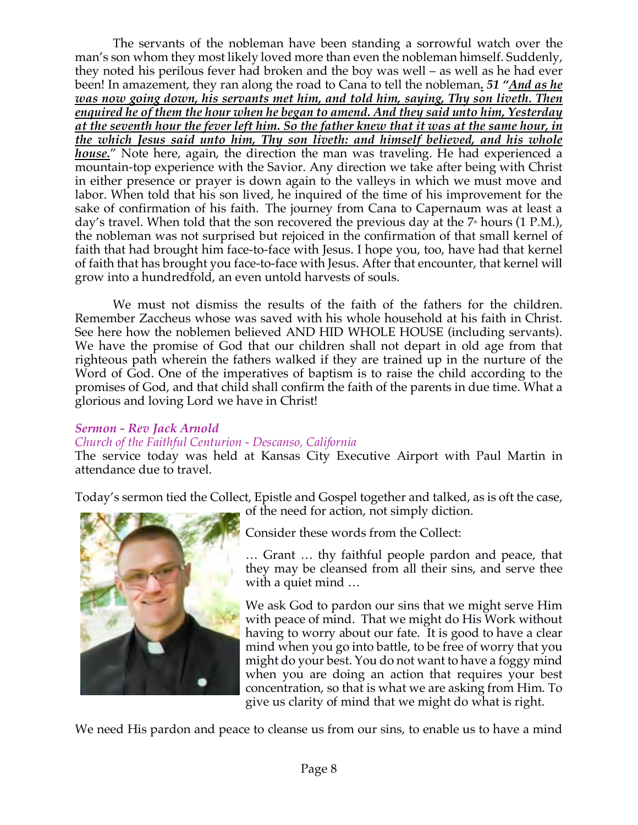The servants of the nobleman have been standing a sorrowful watch over the man's son whom they most likely loved more than even the nobleman himself. Suddenly, they noted his perilous fever had broken and the boy was well – as well as he had ever been! In amazement, they ran along the road to Cana to tell the nobleman*. 51 "And as he was now going down, his servants met him, and told him, saying, Thy son liveth. Then enquired he of them the hour when he began to amend. And they said unto him, Yesterday at the seventh hour the fever left him. So the father knew that it was at the same hour, in the which Jesus said unto him, Thy son liveth: and himself believed, and his whole house.*" Note here, again, the direction the man was traveling. He had experienced a mountain-top experience with the Savior. Any direction we take after being with Christ in either presence or prayer is down again to the valleys in which we must move and labor. When told that his son lived, he inquired of the time of his improvement for the sake of confirmation of his faith. The journey from Cana to Capernaum was at least a day's travel. When told that the son recovered the previous day at the  $7*$  hours (1 P.M.), the nobleman was not surprised but rejoiced in the confirmation of that small kernel of faith that had brought him face-to-face with Jesus. I hope you, too, have had that kernel of faith that has brought you face-to-face with Jesus. After that encounter, that kernel will grow into a hundredfold, an even untold harvests of souls.

We must not dismiss the results of the faith of the fathers for the children. Remember Zaccheus whose was saved with his whole household at his faith in Christ. See here how the noblemen believed AND HID WHOLE HOUSE (including servants). We have the promise of God that our children shall not depart in old age from that righteous path wherein the fathers walked if they are trained up in the nurture of the Word of God. One of the imperatives of baptism is to raise the child according to the promises of God, and that child shall confirm the faith of the parents in due time. What a glorious and loving Lord we have in Christ!

## *Sermon - Rev Jack Arnold*

#### *Church of the Faithful Centurion - Descanso, California*

The service today was held at Kansas City Executive Airport with Paul Martin in attendance due to travel.

Today's sermon tied the Collect, Epistle and Gospel together and talked, as is oft the case, of the need for action, not simply diction.



Consider these words from the Collect:

… Grant … thy faithful people pardon and peace, that they may be cleansed from all their sins, and serve thee with a quiet mind ...

We ask God to pardon our sins that we might serve Him with peace of mind. That we might do His Work without having to worry about our fate. It is good to have a clear mind when you go into battle, to be free of worry that you might do your best. You do not want to have a foggy mind when you are doing an action that requires your best concentration, so that is what we are asking from Him. To give us clarity of mind that we might do what is right.

We need His pardon and peace to cleanse us from our sins, to enable us to have a mind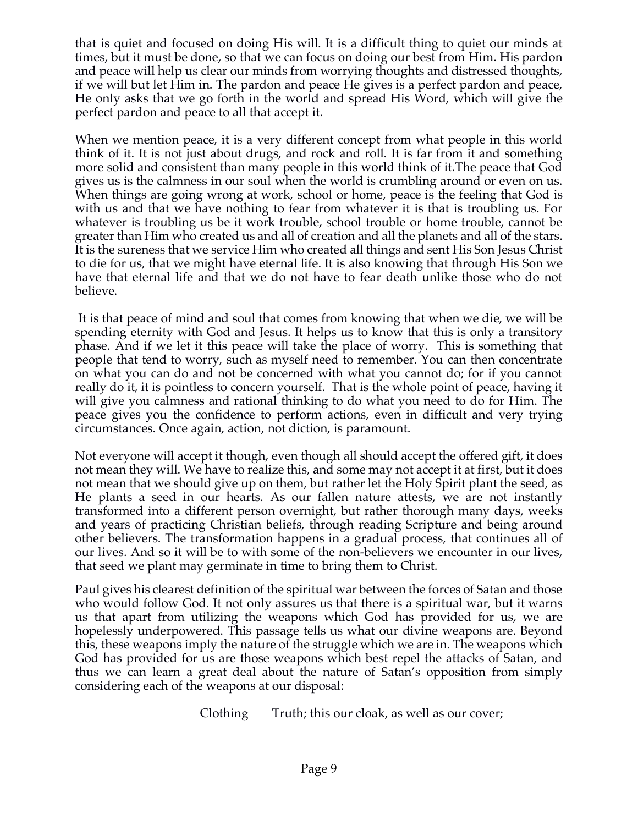that is quiet and focused on doing His will. It is a difficult thing to quiet our minds at times, but it must be done, so that we can focus on doing our best from Him. His pardon and peace will help us clear our minds from worrying thoughts and distressed thoughts, if we will but let Him in. The pardon and peace He gives is a perfect pardon and peace, He only asks that we go forth in the world and spread His Word, which will give the perfect pardon and peace to all that accept it.

When we mention peace, it is a very different concept from what people in this world think of it. It is not just about drugs, and rock and roll. It is far from it and something more solid and consistent than many people in this world think of it.The peace that God gives us is the calmness in our soul when the world is crumbling around or even on us. When things are going wrong at work, school or home, peace is the feeling that God is with us and that we have nothing to fear from whatever it is that is troubling us. For whatever is troubling us be it work trouble, school trouble or home trouble, cannot be greater than Him who created us and all of creation and all the planets and all of the stars. It is the sureness that we service Him who created all things and sent His Son Jesus Christ to die for us, that we might have eternal life. It is also knowing that through His Son we have that eternal life and that we do not have to fear death unlike those who do not believe.

It is that peace of mind and soul that comes from knowing that when we die, we will be spending eternity with God and Jesus. It helps us to know that this is only a transitory phase. And if we let it this peace will take the place of worry. This is something that people that tend to worry, such as myself need to remember. You can then concentrate on what you can do and not be concerned with what you cannot do; for if you cannot really do it, it is pointless to concern yourself. That is the whole point of peace, having it will give you calmness and rational thinking to do what you need to do for Him. The peace gives you the confidence to perform actions, even in difficult and very trying circumstances. Once again, action, not diction, is paramount.

Not everyone will accept it though, even though all should accept the offered gift, it does not mean they will. We have to realize this, and some may not accept it at first, but it does not mean that we should give up on them, but rather let the Holy Spirit plant the seed, as He plants a seed in our hearts. As our fallen nature attests, we are not instantly transformed into a different person overnight, but rather thorough many days, weeks and years of practicing Christian beliefs, through reading Scripture and being around other believers. The transformation happens in a gradual process, that continues all of our lives. And so it will be to with some of the non-believers we encounter in our lives, that seed we plant may germinate in time to bring them to Christ.

Paul gives his clearest definition of the spiritual war between the forces of Satan and those who would follow God. It not only assures us that there is a spiritual war, but it warns us that apart from utilizing the weapons which God has provided for us, we are hopelessly underpowered. This passage tells us what our divine weapons are. Beyond this, these weapons imply the nature of the struggle which we are in. The weapons which God has provided for us are those weapons which best repel the attacks of Satan, and thus we can learn a great deal about the nature of Satan's opposition from simply considering each of the weapons at our disposal:

Clothing Truth; this our cloak, as well as our cover;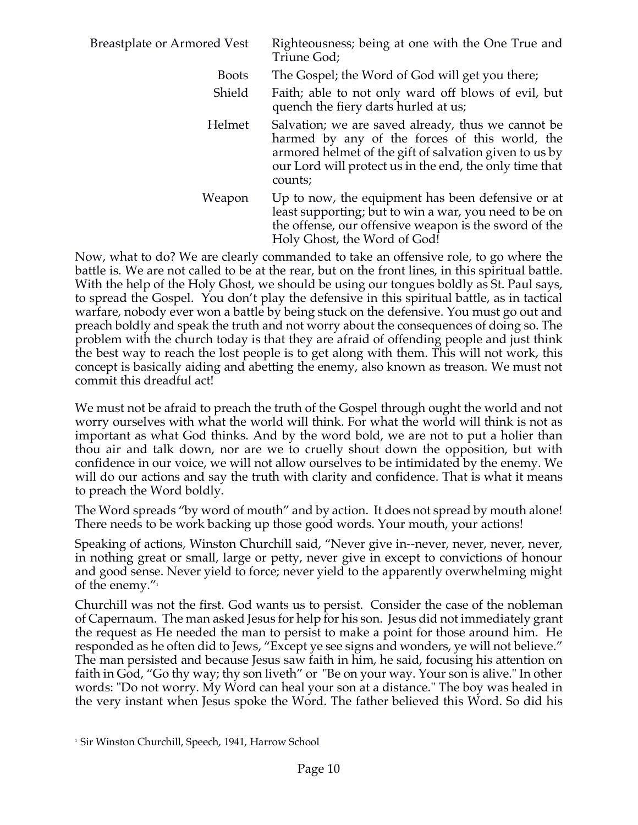| <b>Breastplate or Armored Vest</b>                                                   | Righteousness; being at one with the One True and<br>Triune God;                                                                                                                                                                     |
|--------------------------------------------------------------------------------------|--------------------------------------------------------------------------------------------------------------------------------------------------------------------------------------------------------------------------------------|
| <b>Boots</b>                                                                         | The Gospel; the Word of God will get you there;                                                                                                                                                                                      |
| Shield                                                                               | Faith; able to not only ward off blows of evil, but<br>quench the fiery darts hurled at us;                                                                                                                                          |
| Helmet                                                                               | Salvation; we are saved already, thus we cannot be<br>harmed by any of the forces of this world, the<br>armored helmet of the gift of salvation given to us by<br>our Lord will protect us in the end, the only time that<br>counts; |
| Weapon                                                                               | Up to now, the equipment has been defensive or at<br>least supporting; but to win a war, you need to be on<br>the offense, our offensive weapon is the sword of the<br>Holy Ghost, the Word of God!                                  |
| Now, what to do? We are clearly commanded to take an offensive role, to go where the |                                                                                                                                                                                                                                      |

battle is. We are not called to be at the rear, but on the front lines, in this spiritual battle. With the help of the Holy Ghost, we should be using our tongues boldly as St. Paul says, to spread the Gospel. You don't play the defensive in this spiritual battle, as in tactical warfare, nobody ever won a battle by being stuck on the defensive. You must go out and preach boldly and speak the truth and not worry about the consequences of doing so. The problem with the church today is that they are afraid of offending people and just think the best way to reach the lost people is to get along with them. This will not work, this concept is basically aiding and abetting the enemy, also known as treason. We must not commit this dreadful act!

We must not be afraid to preach the truth of the Gospel through ought the world and not worry ourselves with what the world will think. For what the world will think is not as important as what God thinks. And by the word bold, we are not to put a holier than thou air and talk down, nor are we to cruelly shout down the opposition, but with confidence in our voice, we will not allow ourselves to be intimidated by the enemy. We will do our actions and say the truth with clarity and confidence. That is what it means to preach the Word boldly.

The Word spreads "by word of mouth" and by action. It does not spread by mouth alone! There needs to be work backing up those good words. Your mouth, your actions!

Speaking of actions, Winston Churchill said, "Never give in--never, never, never, never, in nothing great or small, large or petty, never give in except to convictions of honour and good sense. Never yield to force; never yield to the apparently overwhelming might of the enemy. $\frac{n_1}{1}$ 

Churchill was not the first. God wants us to persist. Consider the case of the nobleman of Capernaum. The man asked Jesus for help for his son. Jesus did not immediately grant the request as He needed the man to persist to make a point for those around him. He responded as he often did to Jews, "Except ye see signs and wonders, ye will not believe." The man persisted and because Jesus saw faith in him, he said, focusing his attention on faith in God, "Go thy way; thy son liveth" or "Be on your way. Your son is alive." In other words: "Do not worry. My Word can heal your son at a distance." The boy was healed in the very instant when Jesus spoke the Word. The father believed this Word. So did his

<sup>&</sup>lt;sup>1</sup> Sir Winston Churchill, Speech, 1941, Harrow School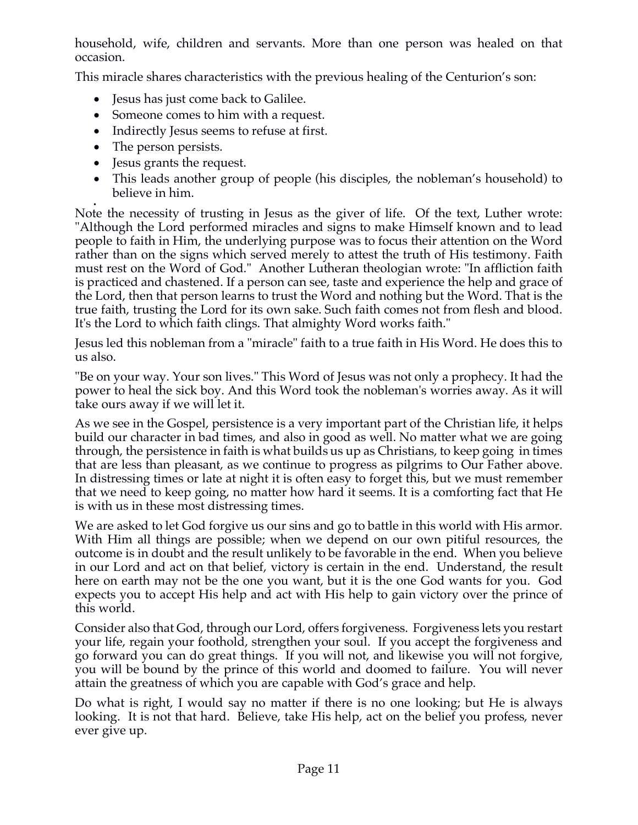household, wife, children and servants. More than one person was healed on that occasion.

This miracle shares characteristics with the previous healing of the Centurion's son:

- Jesus has just come back to Galilee.
- Someone comes to him with a request.
- Indirectly Jesus seems to refuse at first.
- The person persists.
- Jesus grants the request.
- This leads another group of people (his disciples, the nobleman's household) to believe in him.

• Note the necessity of trusting in Jesus as the giver of life. Of the text, Luther wrote: "Although the Lord performed miracles and signs to make Himself known and to lead people to faith in Him, the underlying purpose was to focus their attention on the Word rather than on the signs which served merely to attest the truth of His testimony. Faith must rest on the Word of God." Another Lutheran theologian wrote: "In affliction faith is practiced and chastened. If a person can see, taste and experience the help and grace of the Lord, then that person learns to trust the Word and nothing but the Word. That is the true faith, trusting the Lord for its own sake. Such faith comes not from flesh and blood. It's the Lord to which faith clings. That almighty Word works faith."

Jesus led this nobleman from a "miracle" faith to a true faith in His Word. He does this to us also.

"Be on your way. Your son lives." This Word of Jesus was not only a prophecy. It had the power to heal the sick boy. And this Word took the nobleman's worries away. As it will take ours away if we will let it.

As we see in the Gospel, persistence is a very important part of the Christian life, it helps build our character in bad times, and also in good as well. No matter what we are going through, the persistence in faith is what builds us up as Christians, to keep going in times that are less than pleasant, as we continue to progress as pilgrims to Our Father above. In distressing times or late at night it is often easy to forget this, but we must remember that we need to keep going, no matter how hard it seems. It is a comforting fact that He is with us in these most distressing times.

We are asked to let God forgive us our sins and go to battle in this world with His armor. With Him all things are possible; when we depend on our own pitiful resources, the outcome is in doubt and the result unlikely to be favorable in the end. When you believe in our Lord and act on that belief, victory is certain in the end. Understand, the result here on earth may not be the one you want, but it is the one God wants for you. God expects you to accept His help and act with His help to gain victory over the prince of this world.

Consider also that God, through our Lord, offers forgiveness. Forgiveness lets you restart your life, regain your foothold, strengthen your soul. If you accept the forgiveness and go forward you can do great things. If you will not, and likewise you will not forgive, you will be bound by the prince of this world and doomed to failure. You will never attain the greatness of which you are capable with God's grace and help.

Do what is right, I would say no matter if there is no one looking; but He is always looking. It is not that hard. Believe, take His help, act on the belief you profess, never ever give up.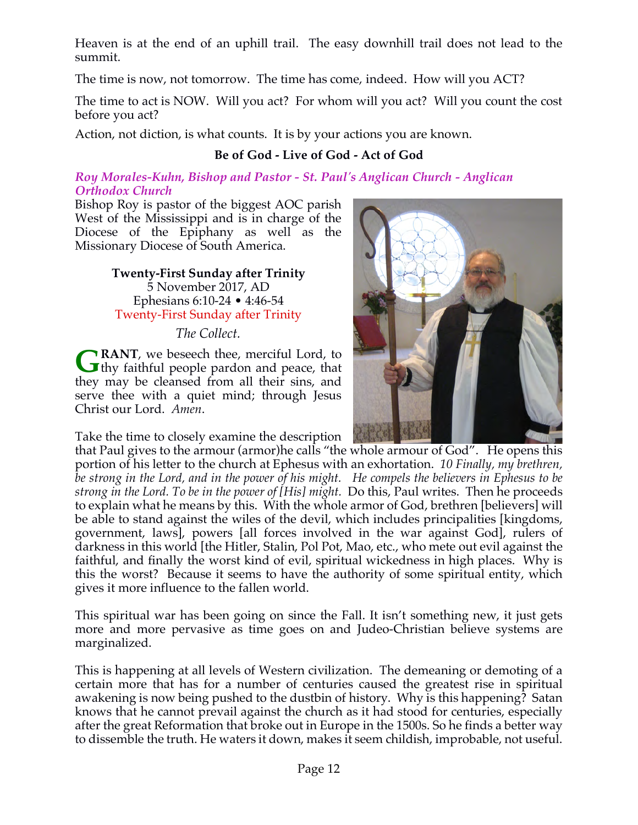Heaven is at the end of an uphill trail. The easy downhill trail does not lead to the summit.

The time is now, not tomorrow. The time has come, indeed. How will you ACT?

The time to act is NOW. Will you act? For whom will you act? Will you count the cost before you act?

Action, not diction, is what counts. It is by your actions you are known.

# **Be of God - Live of God - Act of God**

#### *Roy Morales-Kuhn, Bishop and Pastor - St. Paul's Anglican Church - Anglican Orthodox Church*

Bishop Roy is pastor of the biggest AOC parish West of the Mississippi and is in charge of the Diocese of the Epiphany as well as the Missionary Diocese of South America.

> **Twenty-First Sunday after Trinity** 5 November 2017, AD Ephesians 6:10-24 • 4:46-54 Twenty-First Sunday after Trinity

> > *The Collect.*

**RANT**, we beseech thee, merciful Lord, to **G** RANT, we beseech thee, merciful Lord, to thy faithful people pardon and peace, that they may be cleansed from all their sins, and serve thee with a quiet mind; through Jesus Christ our Lord. *Amen*.

Take the time to closely examine the description



that Paul gives to the armour (armor)he calls "the whole armour of God". He opens this portion of his letter to the church at Ephesus with an exhortation. *10 Finally, my brethren, be strong in the Lord, and in the power of his might. He compels the believers in Ephesus to be strong in the Lord. To be in the power of [His] might.* Do this, Paul writes. Then he proceeds to explain what he means by this. With the whole armor of God, brethren [believers] will be able to stand against the wiles of the devil, which includes principalities [kingdoms, government, laws], powers [all forces involved in the war against God], rulers of darkness in this world [the Hitler, Stalin, Pol Pot, Mao, etc., who mete out evil against the faithful, and finally the worst kind of evil, spiritual wickedness in high places. Why is this the worst? Because it seems to have the authority of some spiritual entity, which gives it more influence to the fallen world.

This spiritual war has been going on since the Fall. It isn't something new, it just gets more and more pervasive as time goes on and Judeo-Christian believe systems are marginalized.

This is happening at all levels of Western civilization. The demeaning or demoting of a certain more that has for a number of centuries caused the greatest rise in spiritual awakening is now being pushed to the dustbin of history. Why is this happening? Satan knows that he cannot prevail against the church as it had stood for centuries, especially after the great Reformation that broke out in Europe in the 1500s. So he finds a better way to dissemble the truth. He waters it down, makes it seem childish, improbable, not useful.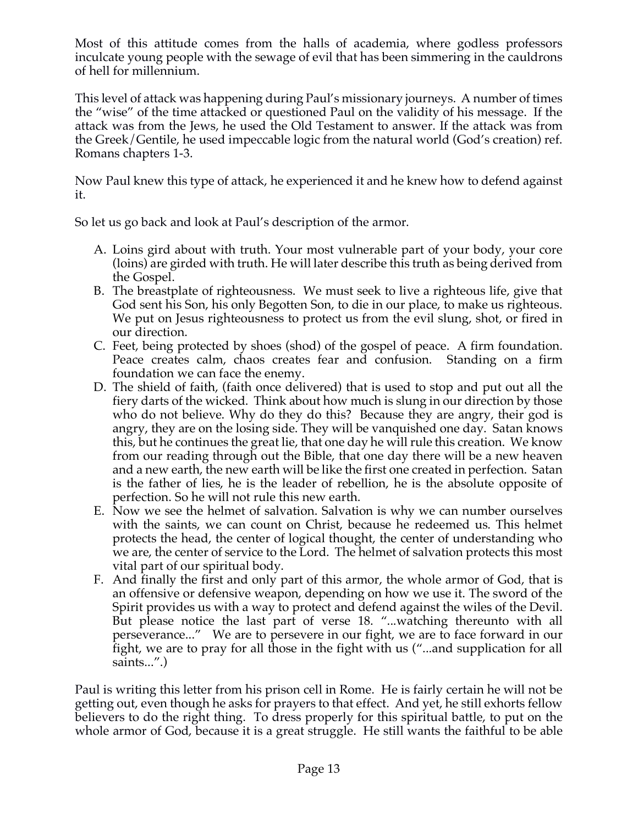Most of this attitude comes from the halls of academia, where godless professors inculcate young people with the sewage of evil that has been simmering in the cauldrons of hell for millennium.

This level of attack was happening during Paul's missionary journeys. A number of times the "wise" of the time attacked or questioned Paul on the validity of his message. If the attack was from the Jews, he used the Old Testament to answer. If the attack was from the Greek/Gentile, he used impeccable logic from the natural world (God's creation) ref. Romans chapters 1-3.

Now Paul knew this type of attack, he experienced it and he knew how to defend against it.

So let us go back and look at Paul's description of the armor.

- A. Loins gird about with truth. Your most vulnerable part of your body, your core (loins) are girded with truth. He will later describe this truth as being derived from the Gospel.
- B. The breastplate of righteousness. We must seek to live a righteous life, give that God sent his Son, his only Begotten Son, to die in our place, to make us righteous. We put on Jesus righteousness to protect us from the evil slung, shot, or fired in our direction.
- C. Feet, being protected by shoes (shod) of the gospel of peace. A firm foundation. Peace creates calm, chaos creates fear and confusion. Standing on a firm foundation we can face the enemy.
- D. The shield of faith, (faith once delivered) that is used to stop and put out all the fiery darts of the wicked. Think about how much is slung in our direction by those who do not believe. Why do they do this? Because they are angry, their god is angry, they are on the losing side. They will be vanquished one day. Satan knows this, but he continues the great lie, that one day he will rule this creation. We know from our reading through out the Bible, that one day there will be a new heaven and a new earth, the new earth will be like the first one created in perfection. Satan is the father of lies, he is the leader of rebellion, he is the absolute opposite of perfection. So he will not rule this new earth.
- E. Now we see the helmet of salvation. Salvation is why we can number ourselves with the saints, we can count on Christ, because he redeemed us. This helmet protects the head, the center of logical thought, the center of understanding who we are, the center of service to the Lord. The helmet of salvation protects this most vital part of our spiritual body.
- F. And finally the first and only part of this armor, the whole armor of God, that is an offensive or defensive weapon, depending on how we use it. The sword of the Spirit provides us with a way to protect and defend against the wiles of the Devil. But please notice the last part of verse 18. "...watching thereunto with all perseverance..." We are to persevere in our fight, we are to face forward in our fight, we are to pray for all those in the fight with us ("...and supplication for all saints...".)

Paul is writing this letter from his prison cell in Rome. He is fairly certain he will not be getting out, even though he asks for prayers to that effect. And yet, he still exhorts fellow believers to do the right thing. To dress properly for this spiritual battle, to put on the whole armor of God, because it is a great struggle. He still wants the faithful to be able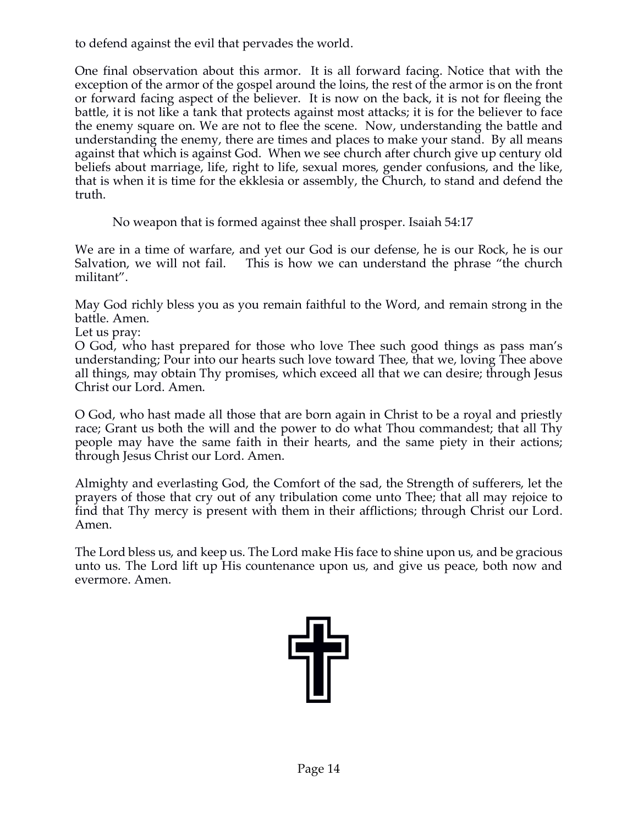to defend against the evil that pervades the world.

One final observation about this armor. It is all forward facing. Notice that with the exception of the armor of the gospel around the loins, the rest of the armor is on the front or forward facing aspect of the believer. It is now on the back, it is not for fleeing the battle, it is not like a tank that protects against most attacks; it is for the believer to face the enemy square on. We are not to flee the scene. Now, understanding the battle and understanding the enemy, there are times and places to make your stand. By all means against that which is against God. When we see church after church give up century old beliefs about marriage, life, right to life, sexual mores, gender confusions, and the like, that is when it is time for the ekklesia or assembly, the Church, to stand and defend the truth.

No weapon that is formed against thee shall prosper. Isaiah 54:17

We are in a time of warfare, and yet our God is our defense, he is our Rock, he is our Salvation, we will not fail. This is how we can understand the phrase "the church militant".

May God richly bless you as you remain faithful to the Word, and remain strong in the battle. Amen.

Let us pray:

O God, who hast prepared for those who love Thee such good things as pass man's understanding; Pour into our hearts such love toward Thee, that we, loving Thee above all things, may obtain Thy promises, which exceed all that we can desire; through Jesus Christ our Lord. Amen.

O God, who hast made all those that are born again in Christ to be a royal and priestly race; Grant us both the will and the power to do what Thou commandest; that all Thy people may have the same faith in their hearts, and the same piety in their actions; through Jesus Christ our Lord. Amen.

Almighty and everlasting God, the Comfort of the sad, the Strength of sufferers, let the prayers of those that cry out of any tribulation come unto Thee; that all may rejoice to find that Thy mercy is present with them in their afflictions; through Christ our Lord. Amen.

The Lord bless us, and keep us. The Lord make His face to shine upon us, and be gracious unto us. The Lord lift up His countenance upon us, and give us peace, both now and evermore. Amen.

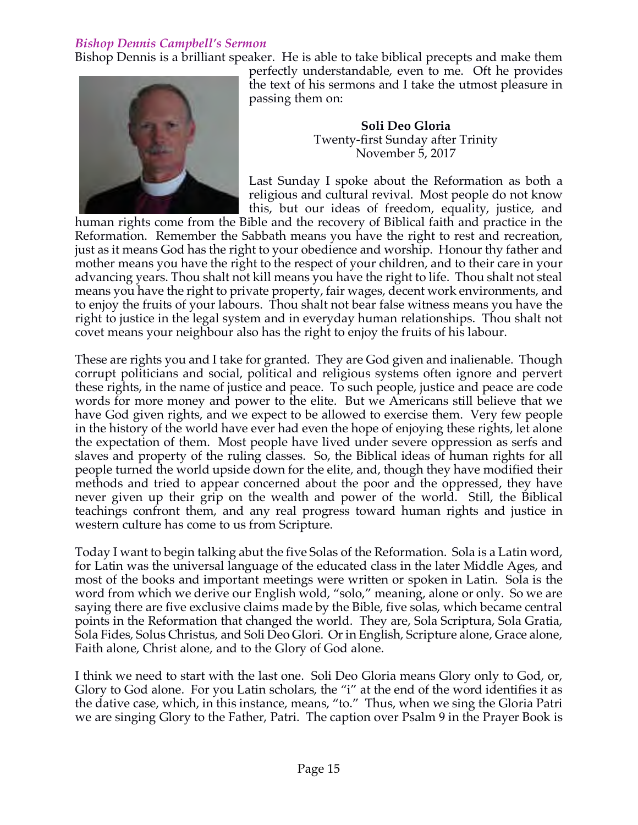## *Bishop Dennis Campbell's Sermon*

Bishop Dennis is a brilliant speaker. He is able to take biblical precepts and make them



perfectly understandable, even to me. Oft he provides the text of his sermons and I take the utmost pleasure in passing them on:

> **Soli Deo Gloria** Twenty-first Sunday after Trinity November 5, 2017

Last Sunday I spoke about the Reformation as both a religious and cultural revival. Most people do not know this, but our ideas of freedom, equality, justice, and

human rights come from the Bible and the recovery of Biblical faith and practice in the Reformation. Remember the Sabbath means you have the right to rest and recreation, just as it means God has the right to your obedience and worship. Honour thy father and mother means you have the right to the respect of your children, and to their care in your advancing years. Thou shalt not kill means you have the right to life. Thou shalt not steal means you have the right to private property, fair wages, decent work environments, and to enjoy the fruits of your labours. Thou shalt not bear false witness means you have the right to justice in the legal system and in everyday human relationships. Thou shalt not covet means your neighbour also has the right to enjoy the fruits of his labour.

These are rights you and I take for granted. They are God given and inalienable. Though corrupt politicians and social, political and religious systems often ignore and pervert these rights, in the name of justice and peace. To such people, justice and peace are code words for more money and power to the elite. But we Americans still believe that we have God given rights, and we expect to be allowed to exercise them. Very few people in the history of the world have ever had even the hope of enjoying these rights, let alone the expectation of them. Most people have lived under severe oppression as serfs and slaves and property of the ruling classes. So, the Biblical ideas of human rights for all people turned the world upside down for the elite, and, though they have modified their methods and tried to appear concerned about the poor and the oppressed, they have never given up their grip on the wealth and power of the world. Still, the Biblical teachings confront them, and any real progress toward human rights and justice in western culture has come to us from Scripture.

Today I want to begin talking abut the five Solas of the Reformation. Sola is a Latin word, for Latin was the universal language of the educated class in the later Middle Ages, and most of the books and important meetings were written or spoken in Latin. Sola is the word from which we derive our English wold, "solo," meaning, alone or only. So we are saying there are five exclusive claims made by the Bible, five solas, which became central points in the Reformation that changed the world. They are, Sola Scriptura, Sola Gratia, Sola Fides, Solus Christus, and Soli Deo Glori. Or in English, Scripture alone, Grace alone, Faith alone, Christ alone, and to the Glory of God alone.

I think we need to start with the last one. Soli Deo Gloria means Glory only to God, or, Glory to God alone. For you Latin scholars, the "i" at the end of the word identifies it as the dative case, which, in this instance, means, "to." Thus, when we sing the Gloria Patri we are singing Glory to the Father, Patri. The caption over Psalm 9 in the Prayer Book is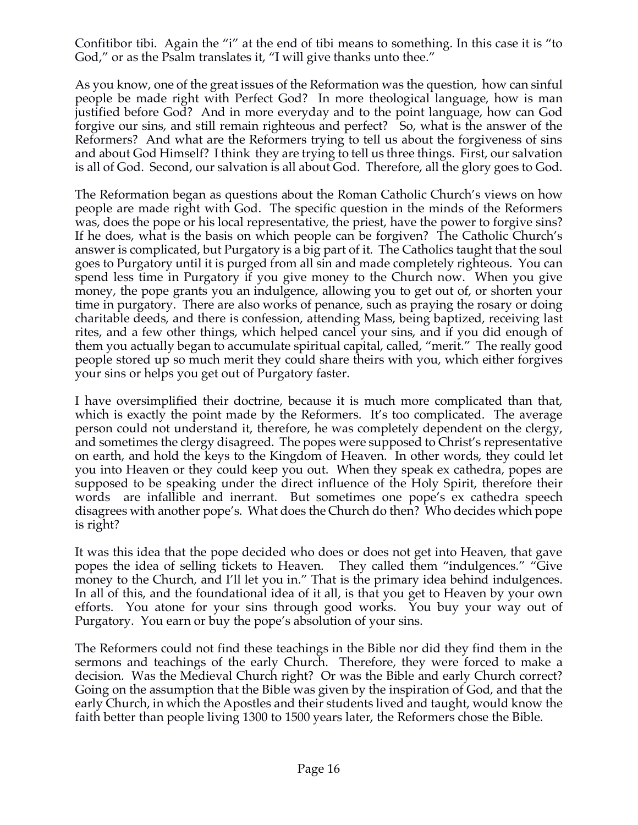Confitibor tibi. Again the "i" at the end of tibi means to something. In this case it is "to God," or as the Psalm translates it, "I will give thanks unto thee."

As you know, one of the great issues of the Reformation was the question, how can sinful people be made right with Perfect God? In more theological language, how is man justified before God? And in more everyday and to the point language, how can God forgive our sins, and still remain righteous and perfect? So, what is the answer of the Reformers? And what are the Reformers trying to tell us about the forgiveness of sins and about God Himself? I think they are trying to tell us three things. First, our salvation is all of God. Second, our salvation is all about God. Therefore, all the glory goes to God.

The Reformation began as questions about the Roman Catholic Church's views on how people are made right with God. The specific question in the minds of the Reformers was, does the pope or his local representative, the priest, have the power to forgive sins? If he does, what is the basis on which people can be forgiven? The Catholic Church's answer is complicated, but Purgatory is a big part of it. The Catholics taught that the soul goes to Purgatory until it is purged from all sin and made completely righteous. You can spend less time in Purgatory if you give money to the Church now. When you give money, the pope grants you an indulgence, allowing you to get out of, or shorten your time in purgatory. There are also works of penance, such as praying the rosary or doing charitable deeds, and there is confession, attending Mass, being baptized, receiving last rites, and a few other things, which helped cancel your sins, and if you did enough of them you actually began to accumulate spiritual capital, called, "merit." The really good people stored up so much merit they could share theirs with you, which either forgives your sins or helps you get out of Purgatory faster.

I have oversimplified their doctrine, because it is much more complicated than that, which is exactly the point made by the Reformers. It's too complicated. The average person could not understand it, therefore, he was completely dependent on the clergy, and sometimes the clergy disagreed. The popes were supposed to Christ's representative on earth, and hold the keys to the Kingdom of Heaven. In other words, they could let you into Heaven or they could keep you out. When they speak ex cathedra, popes are supposed to be speaking under the direct influence of the Holy Spirit, therefore their words are infallible and inerrant. But sometimes one pope's ex cathedra speech disagrees with another pope's. What does the Church do then? Who decides which pope is right?

It was this idea that the pope decided who does or does not get into Heaven, that gave popes the idea of selling tickets to Heaven. They called them "indulgences." "Give money to the Church, and I'll let you in." That is the primary idea behind indulgences. In all of this, and the foundational idea of it all, is that you get to Heaven by your own efforts. You atone for your sins through good works. You buy your way out of Purgatory. You earn or buy the pope's absolution of your sins.

The Reformers could not find these teachings in the Bible nor did they find them in the sermons and teachings of the early Church. Therefore, they were forced to make a decision. Was the Medieval Church right? Or was the Bible and early Church correct? Going on the assumption that the Bible was given by the inspiration of God, and that the early Church, in which the Apostles and their students lived and taught, would know the faith better than people living 1300 to 1500 years later, the Reformers chose the Bible.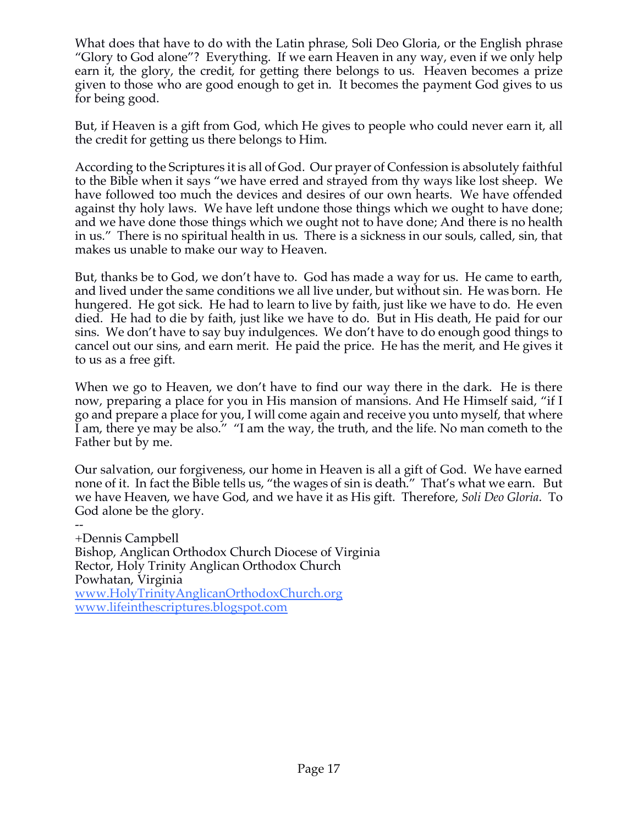What does that have to do with the Latin phrase, Soli Deo Gloria, or the English phrase "Glory to God alone"? Everything. If we earn Heaven in any way, even if we only help earn it, the glory, the credit, for getting there belongs to us. Heaven becomes a prize given to those who are good enough to get in. It becomes the payment God gives to us for being good.

But, if Heaven is a gift from God, which He gives to people who could never earn it, all the credit for getting us there belongs to Him.

According to the Scriptures it is all of God. Our prayer of Confession is absolutely faithful to the Bible when it says "we have erred and strayed from thy ways like lost sheep. We have followed too much the devices and desires of our own hearts. We have offended against thy holy laws. We have left undone those things which we ought to have done; and we have done those things which we ought not to have done; And there is no health in us." There is no spiritual health in us. There is a sickness in our souls, called, sin, that makes us unable to make our way to Heaven.

But, thanks be to God, we don't have to. God has made a way for us. He came to earth, and lived under the same conditions we all live under, but without sin. He was born. He hungered. He got sick. He had to learn to live by faith, just like we have to do. He even died. He had to die by faith, just like we have to do. But in His death, He paid for our sins. We don't have to say buy indulgences. We don't have to do enough good things to cancel out our sins, and earn merit. He paid the price. He has the merit, and He gives it to us as a free gift.

When we go to Heaven, we don't have to find our way there in the dark. He is there now, preparing a place for you in His mansion of mansions. And He Himself said, "if I go and prepare a place for you, I will come again and receive you unto myself, that where I am, there ye may be also." "I am the way, the truth, and the life. No man cometh to the Father but by me.

Our salvation, our forgiveness, our home in Heaven is all a gift of God. We have earned none of it. In fact the Bible tells us, "the wages of sin is death." That's what we earn. But we have Heaven, we have God, and we have it as His gift. Therefore, *Soli Deo Gloria*. To God alone be the glory.

+Dennis Campbell Bishop, Anglican Orthodox Church Diocese of Virginia Rector, Holy Trinity Anglican Orthodox Church Powhatan, Virginia www.HolyTrinityAnglicanOrthodoxChurch.org www.lifeinthescriptures.blogspot.com

--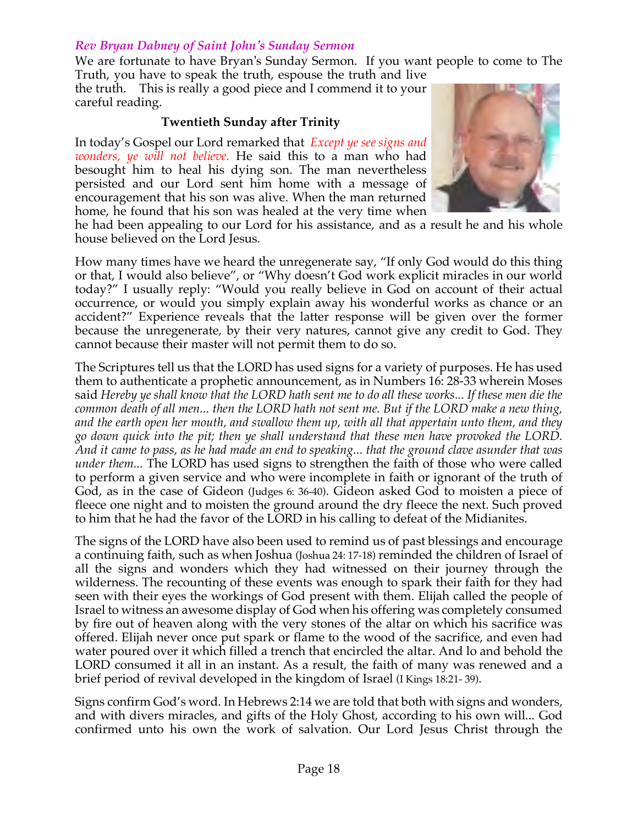#### *Rev Bryan Dabney of Saint John's Sunday Sermon*

We are fortunate to have Bryan's Sunday Sermon. If you want people to come to The Truth, you have to speak the truth, espouse the truth and live

the truth. This is really a good piece and I commend it to your careful reading.

#### **Twentieth Sunday after Trinity**

In today's Gospel our Lord remarked that *Except ye see signs and wonders, ye will not believe.* He said this to a man who had besought him to heal his dying son. The man nevertheless persisted and our Lord sent him home with a message of encouragement that his son was alive. When the man returned home, he found that his son was healed at the very time when



he had been appealing to our Lord for his assistance, and as a result he and his whole house believed on the Lord Jesus.

How many times have we heard the unregenerate say, "If only God would do this thing or that, I would also believe", or "Why doesn't God work explicit miracles in our world today?" I usually reply: "Would you really believe in God on account of their actual occurrence, or would you simply explain away his wonderful works as chance or an accident?" Experience reveals that the latter response will be given over the former because the unregenerate, by their very natures, cannot give any credit to God. They cannot because their master will not permit them to do so.

The Scriptures tell us that the LORD has used signs for a variety of purposes. He has used them to authenticate a prophetic announcement, as in Numbers 16: 28-33 wherein Moses said *Hereby ye shall know that the LORD hath sent me to do all these works... If these men die the common death of all men... then the LORD hath not sent me. But if the LORD make a new thing, and the earth open her mouth, and swallow them up, with all that appertain unto them, and they go down quick into the pit; then ye shall understand that these men have provoked the LORD. And it came to pass, as he had made an end to speaking... that the ground clave asunder that was under them...* The LORD has used signs to strengthen the faith of those who were called to perform a given service and who were incomplete in faith or ignorant of the truth of God, as in the case of Gideon (Judges 6: 36-40). Gideon asked God to moisten a piece of fleece one night and to moisten the ground around the dry fleece the next. Such proved to him that he had the favor of the LORD in his calling to defeat of the Midianites.

The signs of the LORD have also been used to remind us of past blessings and encourage a continuing faith, such as when Joshua (Joshua 24: 17-18) reminded the children of Israel of all the signs and wonders which they had witnessed on their journey through the wilderness. The recounting of these events was enough to spark their faith for they had seen with their eyes the workings of God present with them. Elijah called the people of Israel to witness an awesome display of God when his offering was completely consumed by fire out of heaven along with the very stones of the altar on which his sacrifice was offered. Elijah never once put spark or flame to the wood of the sacrifice, and even had water poured over it which filled a trench that encircled the altar. And lo and behold the LORD consumed it all in an instant. As a result, the faith of many was renewed and a brief period of revival developed in the kingdom of Israel (I Kings 18:21- 39).

Signs confirm God's word. In Hebrews 2:14 we are told that both with signs and wonders, and with divers miracles, and gifts of the Holy Ghost, according to his own will... God confirmed unto his own the work of salvation. Our Lord Jesus Christ through the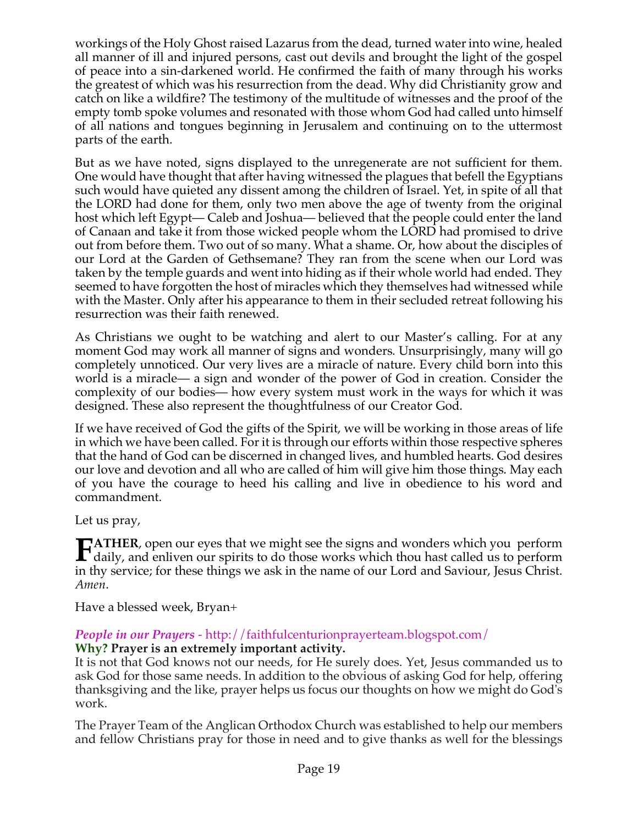workings of the Holy Ghost raised Lazarus from the dead, turned water into wine, healed all manner of ill and injured persons, cast out devils and brought the light of the gospel of peace into a sin-darkened world. He confirmed the faith of many through his works the greatest of which was his resurrection from the dead. Why did Christianity grow and catch on like a wildfire? The testimony of the multitude of witnesses and the proof of the empty tomb spoke volumes and resonated with those whom God had called unto himself of all nations and tongues beginning in Jerusalem and continuing on to the uttermost parts of the earth.

But as we have noted, signs displayed to the unregenerate are not sufficient for them. One would have thought that after having witnessed the plagues that befell the Egyptians such would have quieted any dissent among the children of Israel. Yet, in spite of all that the LORD had done for them, only two men above the age of twenty from the original host which left Egypt— Caleb and Joshua— believed that the people could enter the land of Canaan and take it from those wicked people whom the LORD had promised to drive out from before them. Two out of so many. What a shame. Or, how about the disciples of our Lord at the Garden of Gethsemane? They ran from the scene when our Lord was taken by the temple guards and went into hiding as if their whole world had ended. They seemed to have forgotten the host of miracles which they themselves had witnessed while with the Master. Only after his appearance to them in their secluded retreat following his resurrection was their faith renewed.

As Christians we ought to be watching and alert to our Master's calling. For at any moment God may work all manner of signs and wonders. Unsurprisingly, many will go completely unnoticed. Our very lives are a miracle of nature. Every child born into this world is a miracle— a sign and wonder of the power of God in creation. Consider the complexity of our bodies— how every system must work in the ways for which it was designed. These also represent the thoughtfulness of our Creator God.

If we have received of God the gifts of the Spirit, we will be working in those areas of life in which we have been called. For it is through our efforts within those respective spheres that the hand of God can be discerned in changed lives, and humbled hearts. God desires our love and devotion and all who are called of him will give him those things. May each of you have the courage to heed his calling and live in obedience to his word and commandment.

Let us pray,

**ATHER**, open our eyes that we might see the signs and wonders which you perform **FATHER**, open our eyes that we might see the signs and wonders which you perform<br>daily, and enliven our spirits to do those works which thou hast called us to perform<br>in the couries for these things are ask in the name of in thy service; for these things we ask in the name of our Lord and Saviour, Jesus Christ. *Amen*.

Have a blessed week, Bryan+

# *People in our Prayers* - http://faithfulcenturionprayerteam.blogspot.com/

#### **Why? Prayer is an extremely important activity.**

It is not that God knows not our needs, for He surely does. Yet, Jesus commanded us to ask God for those same needs. In addition to the obvious of asking God for help, offering thanksgiving and the like, prayer helps us focus our thoughts on how we might do God's work.

The Prayer Team of the Anglican Orthodox Church was established to help our members and fellow Christians pray for those in need and to give thanks as well for the blessings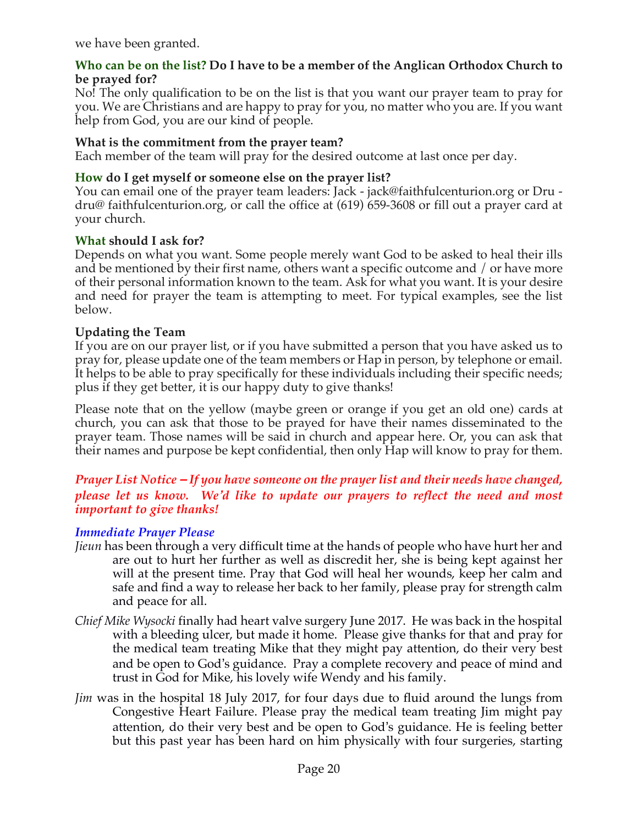we have been granted.

#### **Who can be on the list? Do I have to be a member of the Anglican Orthodox Church to be prayed for?**

No! The only qualification to be on the list is that you want our prayer team to pray for you. We are Christians and are happy to pray for you, no matter who you are. If you want help from God, you are our kind of people.

## **What is the commitment from the prayer team?**

Each member of the team will pray for the desired outcome at last once per day.

## **How do I get myself or someone else on the prayer list?**

You can email one of the prayer team leaders: Jack - jack@faithfulcenturion.org or Dru dru@ faithfulcenturion.org, or call the office at (619) 659-3608 or fill out a prayer card at your church.

## **What should I ask for?**

Depends on what you want. Some people merely want God to be asked to heal their ills and be mentioned by their first name, others want a specific outcome and / or have more of their personal information known to the team. Ask for what you want. It is your desire and need for prayer the team is attempting to meet. For typical examples, see the list below.

## **Updating the Team**

If you are on our prayer list, or if you have submitted a person that you have asked us to pray for, please update one of the team members or Hap in person, by telephone or email. It helps to be able to pray specifically for these individuals including their specific needs; plus if they get better, it is our happy duty to give thanks!

Please note that on the yellow (maybe green or orange if you get an old one) cards at church, you can ask that those to be prayed for have their names disseminated to the prayer team. Those names will be said in church and appear here. Or, you can ask that their names and purpose be kept confidential, then only Hap will know to pray for them.

## *Prayer List Notice – If you have someone on the prayer list and their needs have changed, please let us know. We'd like to update our prayers to reflect the need and most important to give thanks!*

## *Immediate Prayer Please*

- *Jieun* has been through a very difficult time at the hands of people who have hurt her and are out to hurt her further as well as discredit her, she is being kept against her will at the present time. Pray that God will heal her wounds, keep her calm and safe and find a way to release her back to her family, please pray for strength calm and peace for all.
- *Chief Mike Wysocki* finally had heart valve surgery June 2017. He was back in the hospital with a bleeding ulcer, but made it home. Please give thanks for that and pray for the medical team treating Mike that they might pay attention, do their very best and be open to God's guidance. Pray a complete recovery and peace of mind and trust in God for Mike, his lovely wife Wendy and his family.
- *Jim* was in the hospital 18 July 2017, for four days due to fluid around the lungs from Congestive Heart Failure. Please pray the medical team treating Jim might pay attention, do their very best and be open to God's guidance. He is feeling better but this past year has been hard on him physically with four surgeries, starting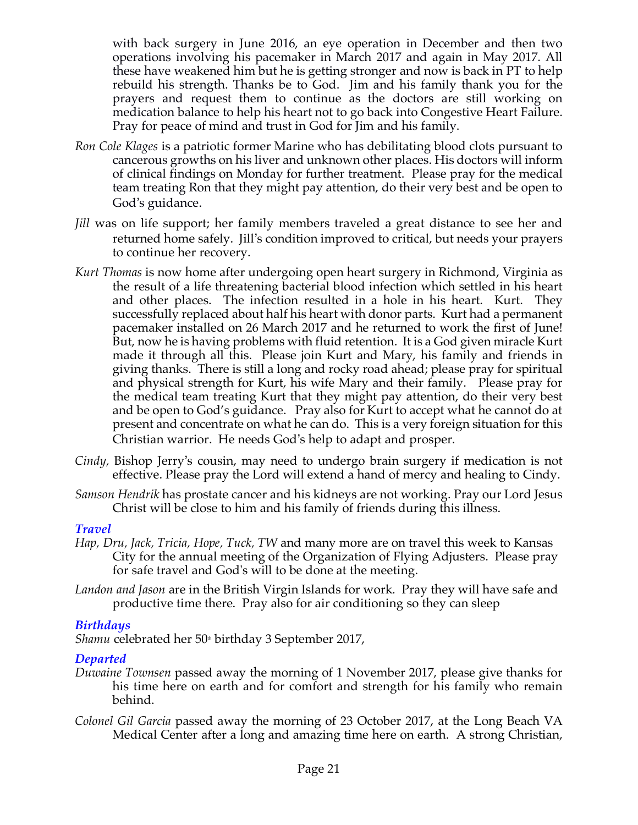with back surgery in June 2016, an eye operation in December and then two operations involving his pacemaker in March 2017 and again in May 2017. All these have weakened him but he is getting stronger and now is back in PT to help rebuild his strength. Thanks be to God. Jim and his family thank you for the prayers and request them to continue as the doctors are still working on medication balance to help his heart not to go back into Congestive Heart Failure. Pray for peace of mind and trust in God for Jim and his family.

- *Ron Cole Klages* is a patriotic former Marine who has debilitating blood clots pursuant to cancerous growths on his liver and unknown other places. His doctors will inform of clinical findings on Monday for further treatment. Please pray for the medical team treating Ron that they might pay attention, do their very best and be open to God's guidance.
- *Jill* was on life support; her family members traveled a great distance to see her and returned home safely. Jill's condition improved to critical, but needs your prayers to continue her recovery.
- *Kurt Thomas* is now home after undergoing open heart surgery in Richmond, Virginia as the result of a life threatening bacterial blood infection which settled in his heart and other places. The infection resulted in a hole in his heart. Kurt. They successfully replaced about half his heart with donor parts. Kurt had a permanent pacemaker installed on 26 March 2017 and he returned to work the first of June! But, now he is having problems with fluid retention. It is a God given miracle Kurt made it through all this. Please join Kurt and Mary, his family and friends in giving thanks. There is still a long and rocky road ahead; please pray for spiritual and physical strength for Kurt, his wife Mary and their family. Please pray for the medical team treating Kurt that they might pay attention, do their very best and be open to God's guidance. Pray also for Kurt to accept what he cannot do at present and concentrate on what he can do. This is a very foreign situation for this Christian warrior. He needs God's help to adapt and prosper.
- *Cindy,* Bishop Jerry's cousin, may need to undergo brain surgery if medication is not effective. Please pray the Lord will extend a hand of mercy and healing to Cindy.
- *Samson Hendrik* has prostate cancer and his kidneys are not working. Pray our Lord Jesus Christ will be close to him and his family of friends during this illness.

## *Travel*

- *Hap, Dru, Jack, Tricia, Hope, Tuck, TW* and many more are on travel this week to Kansas City for the annual meeting of the Organization of Flying Adjusters. Please pray for safe travel and God's will to be done at the meeting.
- *Landon and Jason* are in the British Virgin Islands for work. Pray they will have safe and productive time there. Pray also for air conditioning so they can sleep

#### *Birthdays*

*Shamu* celebrated her 50<sup>th</sup> birthday 3 September 2017,

## *Departed*

- *Duwaine Townsen* passed away the morning of 1 November 2017, please give thanks for his time here on earth and for comfort and strength for his family who remain behind.
- *Colonel Gil Garcia* passed away the morning of 23 October 2017, at the Long Beach VA Medical Center after a long and amazing time here on earth. A strong Christian,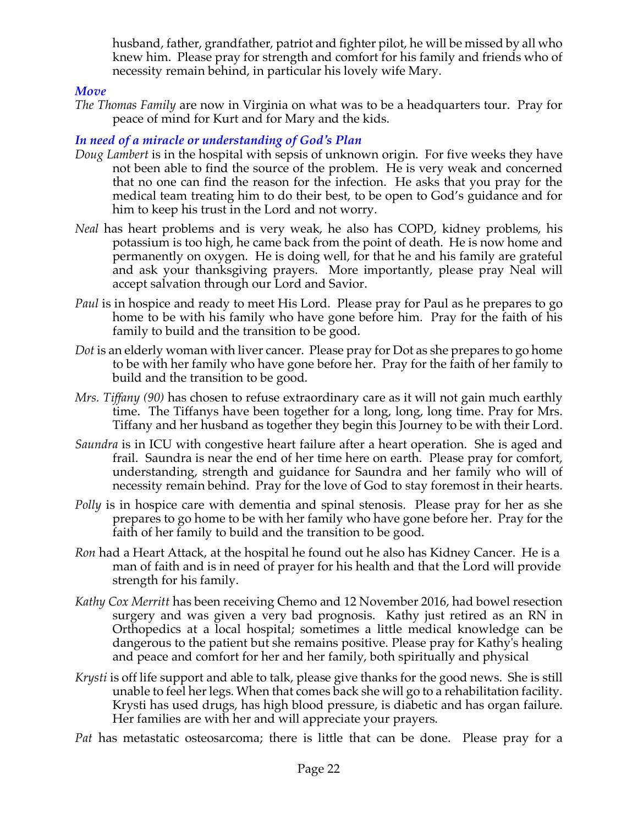husband, father, grandfather, patriot and fighter pilot, he will be missed by all who knew him. Please pray for strength and comfort for his family and friends who of necessity remain behind, in particular his lovely wife Mary.

#### *Move*

*The Thomas Family* are now in Virginia on what was to be a headquarters tour. Pray for peace of mind for Kurt and for Mary and the kids.

# *In need of a miracle or understanding of God's Plan*

- *Doug Lambert* is in the hospital with sepsis of unknown origin. For five weeks they have not been able to find the source of the problem. He is very weak and concerned that no one can find the reason for the infection. He asks that you pray for the medical team treating him to do their best, to be open to God's guidance and for him to keep his trust in the Lord and not worry.
- *Neal* has heart problems and is very weak, he also has COPD, kidney problems, his potassium is too high, he came back from the point of death. He is now home and permanently on oxygen. He is doing well, for that he and his family are grateful and ask your thanksgiving prayers. More importantly, please pray Neal will accept salvation through our Lord and Savior.
- *Paul* is in hospice and ready to meet His Lord. Please pray for Paul as he prepares to go home to be with his family who have gone before him. Pray for the faith of his family to build and the transition to be good.
- *Dot* is an elderly woman with liver cancer. Please pray for Dot as she prepares to go home to be with her family who have gone before her. Pray for the faith of her family to build and the transition to be good.
- *Mrs. Tiffany (90)* has chosen to refuse extraordinary care as it will not gain much earthly time. The Tiffanys have been together for a long, long, long time. Pray for Mrs. Tiffany and her husband as together they begin this Journey to be with their Lord.
- *Saundra* is in ICU with congestive heart failure after a heart operation. She is aged and frail. Saundra is near the end of her time here on earth. Please pray for comfort, understanding, strength and guidance for Saundra and her family who will of necessity remain behind. Pray for the love of God to stay foremost in their hearts.
- *Polly* is in hospice care with dementia and spinal stenosis. Please pray for her as she prepares to go home to be with her family who have gone before her. Pray for the faith of her family to build and the transition to be good.
- *Ron* had a Heart Attack, at the hospital he found out he also has Kidney Cancer. He is a man of faith and is in need of prayer for his health and that the Lord will provide strength for his family.
- *Kathy Cox Merritt* has been receiving Chemo and 12 November 2016, had bowel resection surgery and was given a very bad prognosis. Kathy just retired as an RN in Orthopedics at a local hospital; sometimes a little medical knowledge can be dangerous to the patient but she remains positive. Please pray for Kathy's healing and peace and comfort for her and her family, both spiritually and physical
- *Krysti* is off life support and able to talk, please give thanks for the good news. She is still unable to feel her legs. When that comes back she will go to a rehabilitation facility. Krysti has used drugs, has high blood pressure, is diabetic and has organ failure. Her families are with her and will appreciate your prayers.

*Pat* has metastatic osteosarcoma; there is little that can be done. Please pray for a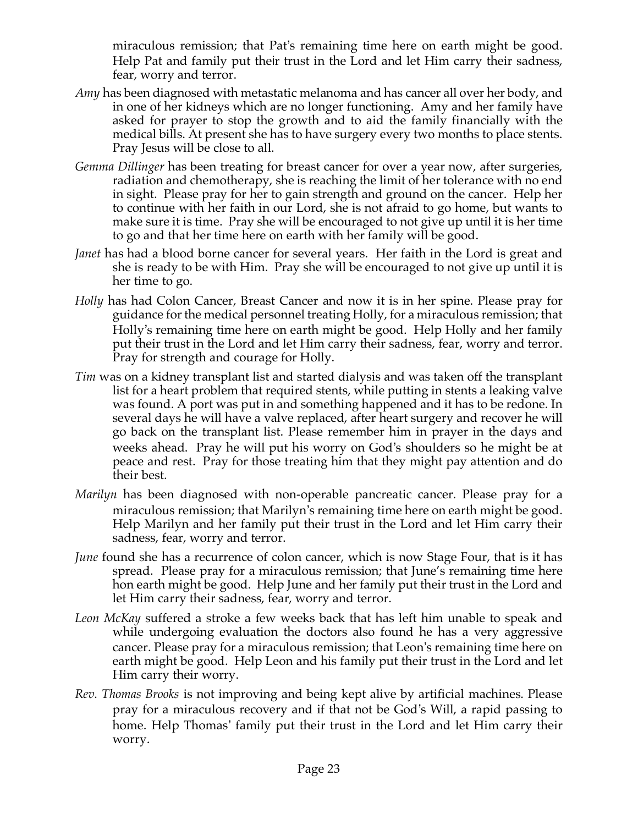miraculous remission; that Pat's remaining time here on earth might be good. Help Pat and family put their trust in the Lord and let Him carry their sadness, fear, worry and terror.

- *Amy* has been diagnosed with metastatic melanoma and has cancer all over her body, and in one of her kidneys which are no longer functioning. Amy and her family have asked for prayer to stop the growth and to aid the family financially with the medical bills. At present she has to have surgery every two months to place stents. Pray Jesus will be close to all.
- *Gemma Dillinger* has been treating for breast cancer for over a year now, after surgeries, radiation and chemotherapy, she is reaching the limit of her tolerance with no end in sight. Please pray for her to gain strength and ground on the cancer. Help her to continue with her faith in our Lord, she is not afraid to go home, but wants to make sure it is time. Pray she will be encouraged to not give up until it is her time to go and that her time here on earth with her family will be good.
- *Janet* has had a blood borne cancer for several years. Her faith in the Lord is great and she is ready to be with Him. Pray she will be encouraged to not give up until it is her time to go.
- *Holly* has had Colon Cancer, Breast Cancer and now it is in her spine. Please pray for guidance for the medical personnel treating Holly, for a miraculous remission; that Holly's remaining time here on earth might be good. Help Holly and her family put their trust in the Lord and let Him carry their sadness, fear, worry and terror. Pray for strength and courage for Holly.
- *Tim* was on a kidney transplant list and started dialysis and was taken off the transplant list for a heart problem that required stents, while putting in stents a leaking valve was found. A port was put in and something happened and it has to be redone. In several days he will have a valve replaced, after heart surgery and recover he will go back on the transplant list. Please remember him in prayer in the days and weeks ahead. Pray he will put his worry on God's shoulders so he might be at peace and rest. Pray for those treating him that they might pay attention and do their best.
- *Marilyn* has been diagnosed with non-operable pancreatic cancer. Please pray for a miraculous remission; that Marilyn's remaining time here on earth might be good. Help Marilyn and her family put their trust in the Lord and let Him carry their sadness, fear, worry and terror.
- *June* found she has a recurrence of colon cancer, which is now Stage Four, that is it has spread. Please pray for a miraculous remission; that June's remaining time here hon earth might be good. Help June and her family put their trust in the Lord and let Him carry their sadness, fear, worry and terror.
- *Leon McKay* suffered a stroke a few weeks back that has left him unable to speak and while undergoing evaluation the doctors also found he has a very aggressive cancer. Please pray for a miraculous remission; that Leon's remaining time here on earth might be good. Help Leon and his family put their trust in the Lord and let Him carry their worry.
- *Rev. Thomas Brooks* is not improving and being kept alive by artificial machines. Please pray for a miraculous recovery and if that not be God's Will, a rapid passing to home. Help Thomas' family put their trust in the Lord and let Him carry their worry.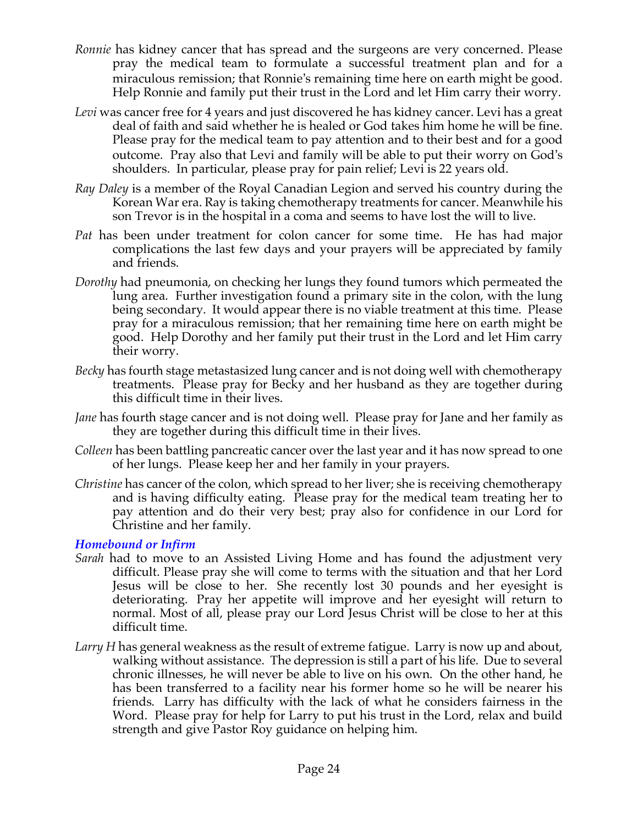- *Ronnie* has kidney cancer that has spread and the surgeons are very concerned. Please pray the medical team to formulate a successful treatment plan and for a miraculous remission; that Ronnie's remaining time here on earth might be good. Help Ronnie and family put their trust in the Lord and let Him carry their worry.
- *Levi* was cancer free for 4 years and just discovered he has kidney cancer. Levi has a great deal of faith and said whether he is healed or God takes him home he will be fine. Please pray for the medical team to pay attention and to their best and for a good outcome. Pray also that Levi and family will be able to put their worry on God's shoulders. In particular, please pray for pain relief; Levi is 22 years old.
- *Ray Daley* is a member of the Royal Canadian Legion and served his country during the Korean War era. Ray is taking chemotherapy treatments for cancer. Meanwhile his son Trevor is in the hospital in a coma and seems to have lost the will to live.
- *Pat* has been under treatment for colon cancer for some time. He has had major complications the last few days and your prayers will be appreciated by family and friends.
- *Dorothy* had pneumonia, on checking her lungs they found tumors which permeated the lung area. Further investigation found a primary site in the colon, with the lung being secondary. It would appear there is no viable treatment at this time. Please pray for a miraculous remission; that her remaining time here on earth might be good. Help Dorothy and her family put their trust in the Lord and let Him carry their worry.
- *Becky* has fourth stage metastasized lung cancer and is not doing well with chemotherapy treatments. Please pray for Becky and her husband as they are together during this difficult time in their lives.
- *Jane* has fourth stage cancer and is not doing well. Please pray for Jane and her family as they are together during this difficult time in their lives.
- *Colleen* has been battling pancreatic cancer over the last year and it has now spread to one of her lungs. Please keep her and her family in your prayers.
- *Christine* has cancer of the colon, which spread to her liver; she is receiving chemotherapy and is having difficulty eating. Please pray for the medical team treating her to pay attention and do their very best; pray also for confidence in our Lord for Christine and her family.

## *Homebound or Infirm*

- *Sarah* had to move to an Assisted Living Home and has found the adjustment very difficult. Please pray she will come to terms with the situation and that her Lord Jesus will be close to her. She recently lost 30 pounds and her eyesight is deteriorating. Pray her appetite will improve and her eyesight will return to normal. Most of all, please pray our Lord Jesus Christ will be close to her at this difficult time.
- *Larry H* has general weakness as the result of extreme fatigue. Larry is now up and about, walking without assistance. The depression is still a part of his life. Due to several chronic illnesses, he will never be able to live on his own. On the other hand, he has been transferred to a facility near his former home so he will be nearer his friends. Larry has difficulty with the lack of what he considers fairness in the Word. Please pray for help for Larry to put his trust in the Lord, relax and build strength and give Pastor Roy guidance on helping him.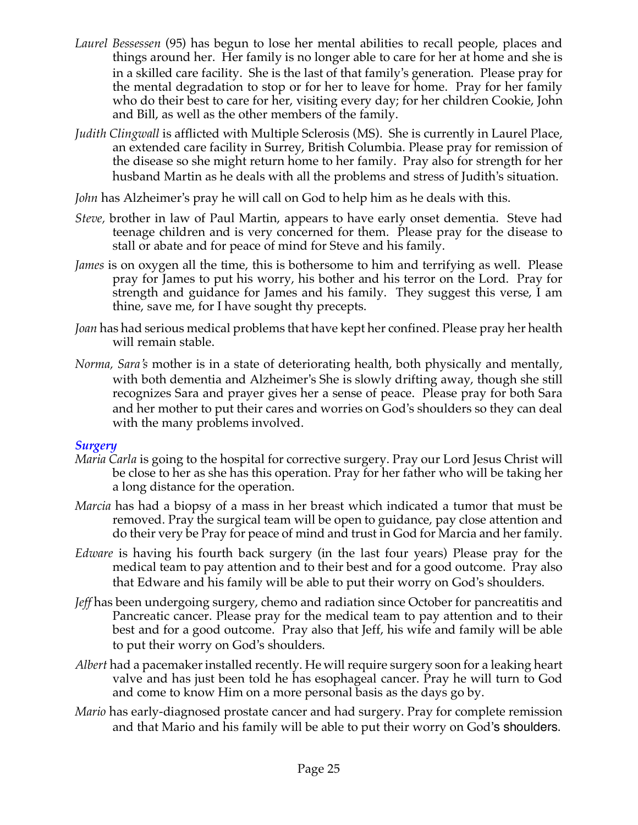- *Laurel Bessessen* (95) has begun to lose her mental abilities to recall people, places and things around her. Her family is no longer able to care for her at home and she is in a skilled care facility. She is the last of that family's generation. Please pray for the mental degradation to stop or for her to leave for home. Pray for her family who do their best to care for her, visiting every day; for her children Cookie, John and Bill, as well as the other members of the family.
- *Judith Clingwall* is afflicted with Multiple Sclerosis (MS). She is currently in Laurel Place, an extended care facility in Surrey, British Columbia. Please pray for remission of the disease so she might return home to her family. Pray also for strength for her husband Martin as he deals with all the problems and stress of Judith's situation.
- *John* has Alzheimer's pray he will call on God to help him as he deals with this.
- *Steve,* brother in law of Paul Martin, appears to have early onset dementia. Steve had teenage children and is very concerned for them. Please pray for the disease to stall or abate and for peace of mind for Steve and his family.
- *James* is on oxygen all the time, this is bothersome to him and terrifying as well. Please pray for James to put his worry, his bother and his terror on the Lord. Pray for strength and guidance for James and his family. They suggest this verse, I am thine, save me, for I have sought thy precepts.
- *Joan* has had serious medical problems that have kept her confined. Please pray her health will remain stable.
- *Norma, Sara's* mother is in a state of deteriorating health, both physically and mentally, with both dementia and Alzheimer's She is slowly drifting away, though she still recognizes Sara and prayer gives her a sense of peace. Please pray for both Sara and her mother to put their cares and worries on God's shoulders so they can deal with the many problems involved.

## *Surgery*

- *Maria Carla* is going to the hospital for corrective surgery. Pray our Lord Jesus Christ will be close to her as she has this operation. Pray for her father who will be taking her a long distance for the operation.
- *Marcia* has had a biopsy of a mass in her breast which indicated a tumor that must be removed. Pray the surgical team will be open to guidance, pay close attention and do their very be Pray for peace of mind and trust in God for Marcia and her family.
- *Edware* is having his fourth back surgery (in the last four years) Please pray for the medical team to pay attention and to their best and for a good outcome. Pray also that Edware and his family will be able to put their worry on God's shoulders.
- *Jeff* has been undergoing surgery, chemo and radiation since October for pancreatitis and Pancreatic cancer. Please pray for the medical team to pay attention and to their best and for a good outcome. Pray also that Jeff, his wife and family will be able to put their worry on God's shoulders.
- *Albert* had a pacemaker installed recently. He will require surgery soon for a leaking heart valve and has just been told he has esophageal cancer. Pray he will turn to God and come to know Him on a more personal basis as the days go by.
- *Mario* has early-diagnosed prostate cancer and had surgery. Pray for complete remission and that Mario and his family will be able to put their worry on God's shoulders.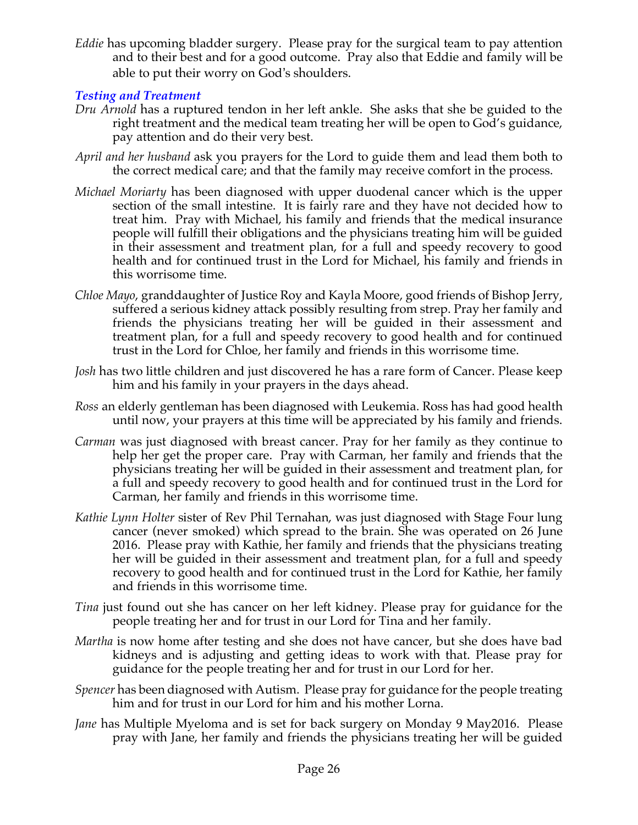*Eddie* has upcoming bladder surgery. Please pray for the surgical team to pay attention and to their best and for a good outcome. Pray also that Eddie and family will be able to put their worry on God's shoulders.

# *Testing and Treatment*

- *Dru Arnold* has a ruptured tendon in her left ankle. She asks that she be guided to the right treatment and the medical team treating her will be open to God's guidance, pay attention and do their very best.
- *April and her husband* ask you prayers for the Lord to guide them and lead them both to the correct medical care; and that the family may receive comfort in the process.
- *Michael Moriarty* has been diagnosed with upper duodenal cancer which is the upper section of the small intestine. It is fairly rare and they have not decided how to treat him. Pray with Michael, his family and friends that the medical insurance people will fulfill their obligations and the physicians treating him will be guided in their assessment and treatment plan, for a full and speedy recovery to good health and for continued trust in the Lord for Michael, his family and friends in this worrisome time.
- *Chloe Mayo*, granddaughter of Justice Roy and Kayla Moore, good friends of Bishop Jerry, suffered a serious kidney attack possibly resulting from strep. Pray her family and friends the physicians treating her will be guided in their assessment and treatment plan, for a full and speedy recovery to good health and for continued trust in the Lord for Chloe, her family and friends in this worrisome time.
- *Josh* has two little children and just discovered he has a rare form of Cancer. Please keep him and his family in your prayers in the days ahead.
- *Ross* an elderly gentleman has been diagnosed with Leukemia. Ross has had good health until now, your prayers at this time will be appreciated by his family and friends.
- *Carman* was just diagnosed with breast cancer. Pray for her family as they continue to help her get the proper care. Pray with Carman, her family and friends that the physicians treating her will be guided in their assessment and treatment plan, for a full and speedy recovery to good health and for continued trust in the Lord for Carman, her family and friends in this worrisome time.
- *Kathie Lynn Holter* sister of Rev Phil Ternahan, was just diagnosed with Stage Four lung cancer (never smoked) which spread to the brain. She was operated on 26 June 2016. Please pray with Kathie, her family and friends that the physicians treating her will be guided in their assessment and treatment plan, for a full and speedy recovery to good health and for continued trust in the Lord for Kathie, her family and friends in this worrisome time.
- *Tina* just found out she has cancer on her left kidney. Please pray for guidance for the people treating her and for trust in our Lord for Tina and her family.
- *Martha* is now home after testing and she does not have cancer, but she does have bad kidneys and is adjusting and getting ideas to work with that. Please pray for guidance for the people treating her and for trust in our Lord for her.
- *Spencer* has been diagnosed with Autism. Please pray for guidance for the people treating him and for trust in our Lord for him and his mother Lorna.
- *Jane* has Multiple Myeloma and is set for back surgery on Monday 9 May2016. Please pray with Jane, her family and friends the physicians treating her will be guided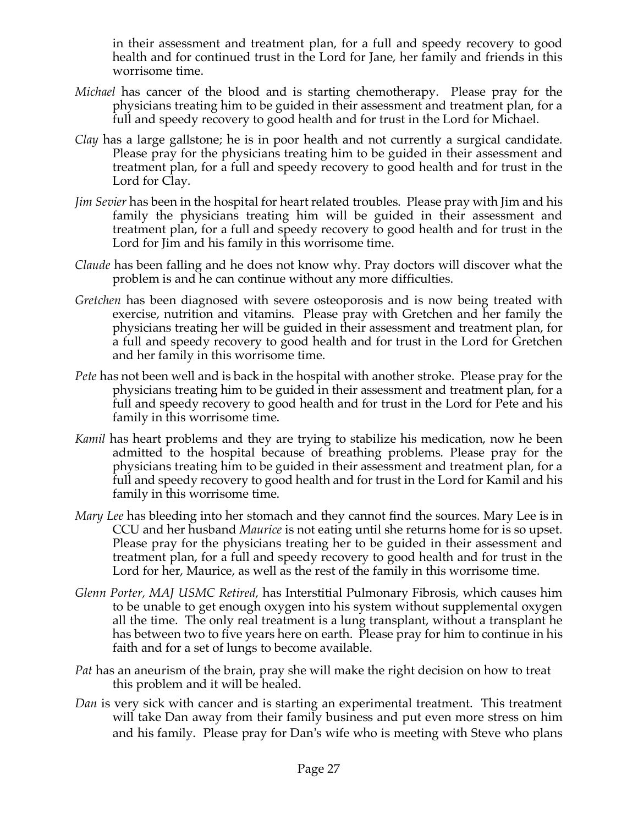in their assessment and treatment plan, for a full and speedy recovery to good health and for continued trust in the Lord for Jane, her family and friends in this worrisome time.

- *Michael* has cancer of the blood and is starting chemotherapy. Please pray for the physicians treating him to be guided in their assessment and treatment plan, for a full and speedy recovery to good health and for trust in the Lord for Michael.
- *Clay* has a large gallstone; he is in poor health and not currently a surgical candidate. Please pray for the physicians treating him to be guided in their assessment and treatment plan, for a full and speedy recovery to good health and for trust in the Lord for Clay.
- *Jim Sevier* has been in the hospital for heart related troubles. Please pray with Jim and his family the physicians treating him will be guided in their assessment and treatment plan, for a full and speedy recovery to good health and for trust in the Lord for Jim and his family in this worrisome time.
- *Claude* has been falling and he does not know why. Pray doctors will discover what the problem is and he can continue without any more difficulties.
- *Gretchen* has been diagnosed with severe osteoporosis and is now being treated with exercise, nutrition and vitamins. Please pray with Gretchen and her family the physicians treating her will be guided in their assessment and treatment plan, for a full and speedy recovery to good health and for trust in the Lord for Gretchen and her family in this worrisome time.
- *Pete* has not been well and is back in the hospital with another stroke. Please pray for the physicians treating him to be guided in their assessment and treatment plan, for a full and speedy recovery to good health and for trust in the Lord for Pete and his family in this worrisome time.
- *Kamil* has heart problems and they are trying to stabilize his medication, now he been admitted to the hospital because of breathing problems. Please pray for the physicians treating him to be guided in their assessment and treatment plan, for a full and speedy recovery to good health and for trust in the Lord for Kamil and his family in this worrisome time.
- *Mary Lee* has bleeding into her stomach and they cannot find the sources. Mary Lee is in CCU and her husband *Maurice* is not eating until she returns home for is so upset. Please pray for the physicians treating her to be guided in their assessment and treatment plan, for a full and speedy recovery to good health and for trust in the Lord for her, Maurice, as well as the rest of the family in this worrisome time.
- *Glenn Porter, MAJ USMC Retired,* has Interstitial Pulmonary Fibrosis, which causes him to be unable to get enough oxygen into his system without supplemental oxygen all the time. The only real treatment is a lung transplant, without a transplant he has between two to five years here on earth. Please pray for him to continue in his faith and for a set of lungs to become available.
- *Pat* has an aneurism of the brain, pray she will make the right decision on how to treat this problem and it will be healed.
- *Dan* is very sick with cancer and is starting an experimental treatment. This treatment will take Dan away from their family business and put even more stress on him and his family. Please pray for Dan's wife who is meeting with Steve who plans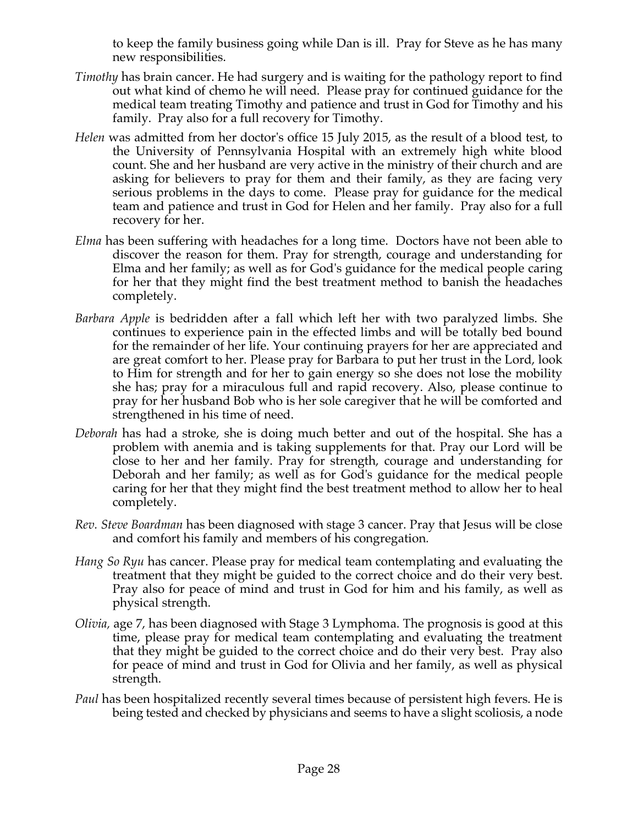to keep the family business going while Dan is ill. Pray for Steve as he has many new responsibilities.

- *Timothy* has brain cancer. He had surgery and is waiting for the pathology report to find out what kind of chemo he will need. Please pray for continued guidance for the medical team treating Timothy and patience and trust in God for Timothy and his family. Pray also for a full recovery for Timothy.
- *Helen* was admitted from her doctor's office 15 July 2015, as the result of a blood test, to the University of Pennsylvania Hospital with an extremely high white blood count. She and her husband are very active in the ministry of their church and are asking for believers to pray for them and their family, as they are facing very serious problems in the days to come. Please pray for guidance for the medical team and patience and trust in God for Helen and her family. Pray also for a full recovery for her.
- *Elma* has been suffering with headaches for a long time. Doctors have not been able to discover the reason for them. Pray for strength, courage and understanding for Elma and her family; as well as for God's guidance for the medical people caring for her that they might find the best treatment method to banish the headaches completely.
- *Barbara Apple* is bedridden after a fall which left her with two paralyzed limbs. She continues to experience pain in the effected limbs and will be totally bed bound for the remainder of her life. Your continuing prayers for her are appreciated and are great comfort to her. Please pray for Barbara to put her trust in the Lord, look to Him for strength and for her to gain energy so she does not lose the mobility she has; pray for a miraculous full and rapid recovery. Also, please continue to pray for her husband Bob who is her sole caregiver that he will be comforted and strengthened in his time of need.
- *Deborah* has had a stroke, she is doing much better and out of the hospital. She has a problem with anemia and is taking supplements for that. Pray our Lord will be close to her and her family. Pray for strength, courage and understanding for Deborah and her family; as well as for God's guidance for the medical people caring for her that they might find the best treatment method to allow her to heal completely.
- *Rev. Steve Boardman* has been diagnosed with stage 3 cancer. Pray that Jesus will be close and comfort his family and members of his congregation*.*
- *Hang So Ryu* has cancer. Please pray for medical team contemplating and evaluating the treatment that they might be guided to the correct choice and do their very best. Pray also for peace of mind and trust in God for him and his family, as well as physical strength.
- *Olivia,* age 7, has been diagnosed with Stage 3 Lymphoma. The prognosis is good at this time, please pray for medical team contemplating and evaluating the treatment that they might be guided to the correct choice and do their very best. Pray also for peace of mind and trust in God for Olivia and her family, as well as physical strength.
- *Paul* has been hospitalized recently several times because of persistent high fevers. He is being tested and checked by physicians and seems to have a slight scoliosis, a node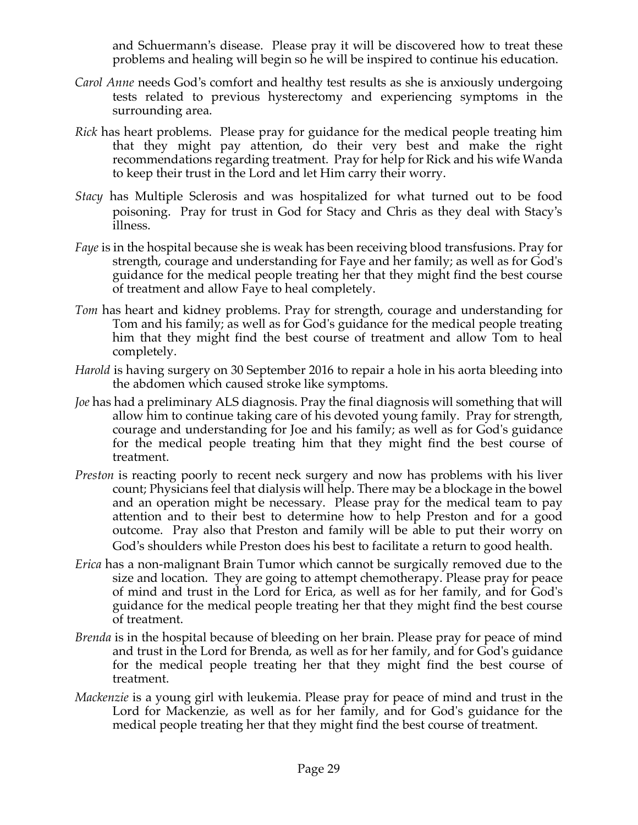and Schuermann's disease. Please pray it will be discovered how to treat these problems and healing will begin so he will be inspired to continue his education.

- *Carol Anne* needs God's comfort and healthy test results as she is anxiously undergoing tests related to previous hysterectomy and experiencing symptoms in the surrounding area.
- *Rick* has heart problems. Please pray for guidance for the medical people treating him that they might pay attention, do their very best and make the right recommendations regarding treatment. Pray for help for Rick and his wife Wanda to keep their trust in the Lord and let Him carry their worry.
- *Stacy* has Multiple Sclerosis and was hospitalized for what turned out to be food poisoning. Pray for trust in God for Stacy and Chris as they deal with Stacy's illness.
- *Faye* is in the hospital because she is weak has been receiving blood transfusions. Pray for strength, courage and understanding for Faye and her family; as well as for God's guidance for the medical people treating her that they might find the best course of treatment and allow Faye to heal completely.
- *Tom* has heart and kidney problems. Pray for strength, courage and understanding for Tom and his family; as well as for God's guidance for the medical people treating him that they might find the best course of treatment and allow Tom to heal completely.
- *Harold* is having surgery on 30 September 2016 to repair a hole in his aorta bleeding into the abdomen which caused stroke like symptoms.
- *Joe* has had a preliminary ALS diagnosis. Pray the final diagnosis will something that will allow him to continue taking care of his devoted young family. Pray for strength, courage and understanding for Joe and his family; as well as for God's guidance for the medical people treating him that they might find the best course of treatment.
- *Preston* is reacting poorly to recent neck surgery and now has problems with his liver count; Physicians feel that dialysis will help. There may be a blockage in the bowel and an operation might be necessary. Please pray for the medical team to pay attention and to their best to determine how to help Preston and for a good outcome. Pray also that Preston and family will be able to put their worry on God's shoulders while Preston does his best to facilitate a return to good health.
- *Erica* has a non-malignant Brain Tumor which cannot be surgically removed due to the size and location. They are going to attempt chemotherapy. Please pray for peace of mind and trust in the Lord for Erica, as well as for her family, and for God's guidance for the medical people treating her that they might find the best course of treatment.
- *Brenda* is in the hospital because of bleeding on her brain. Please pray for peace of mind and trust in the Lord for Brenda, as well as for her family, and for God's guidance for the medical people treating her that they might find the best course of treatment.
- *Mackenzie* is a young girl with leukemia. Please pray for peace of mind and trust in the Lord for Mackenzie, as well as for her family, and for God's guidance for the medical people treating her that they might find the best course of treatment.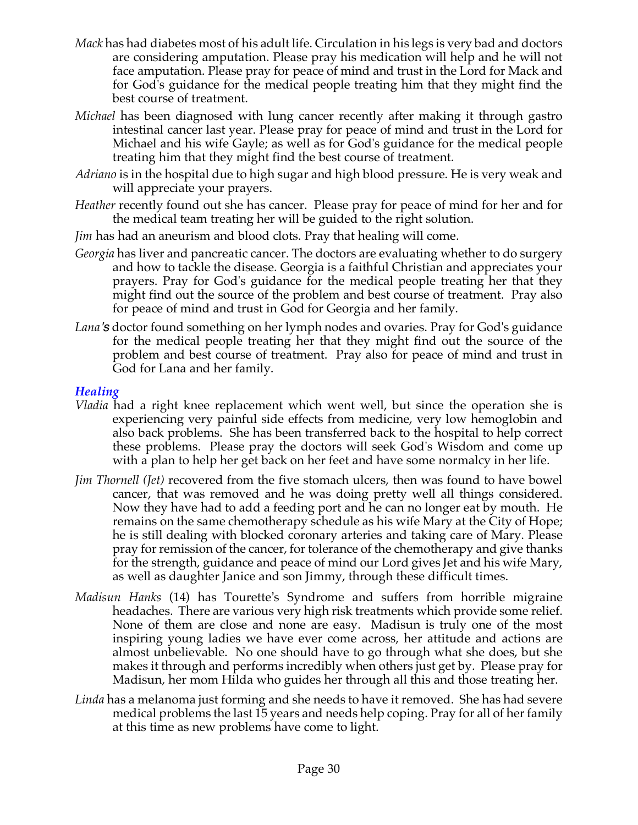- *Mack* has had diabetes most of his adult life. Circulation in his legs is very bad and doctors are considering amputation. Please pray his medication will help and he will not face amputation. Please pray for peace of mind and trust in the Lord for Mack and for God's guidance for the medical people treating him that they might find the best course of treatment.
- *Michael* has been diagnosed with lung cancer recently after making it through gastro intestinal cancer last year. Please pray for peace of mind and trust in the Lord for Michael and his wife Gayle; as well as for God's guidance for the medical people treating him that they might find the best course of treatment.
- *Adriano* is in the hospital due to high sugar and high blood pressure. He is very weak and will appreciate your prayers.
- *Heather* recently found out she has cancer. Please pray for peace of mind for her and for the medical team treating her will be guided to the right solution.
- *Jim* has had an aneurism and blood clots. Pray that healing will come.
- *Georgia* has liver and pancreatic cancer. The doctors are evaluating whether to do surgery and how to tackle the disease. Georgia is a faithful Christian and appreciates your prayers. Pray for God's guidance for the medical people treating her that they might find out the source of the problem and best course of treatment. Pray also for peace of mind and trust in God for Georgia and her family.
- *Lana's* doctor found something on her lymph nodes and ovaries. Pray for God's guidance for the medical people treating her that they might find out the source of the problem and best course of treatment. Pray also for peace of mind and trust in God for Lana and her family.

## *Healing*

- *Vladia* had a right knee replacement which went well, but since the operation she is experiencing very painful side effects from medicine, very low hemoglobin and also back problems. She has been transferred back to the hospital to help correct these problems. Please pray the doctors will seek God's Wisdom and come up with a plan to help her get back on her feet and have some normalcy in her life.
- *Jim Thornell (Jet)* recovered from the five stomach ulcers, then was found to have bowel cancer, that was removed and he was doing pretty well all things considered. Now they have had to add a feeding port and he can no longer eat by mouth. He remains on the same chemotherapy schedule as his wife Mary at the City of Hope; he is still dealing with blocked coronary arteries and taking care of Mary. Please pray for remission of the cancer, for tolerance of the chemotherapy and give thanks for the strength, guidance and peace of mind our Lord gives Jet and his wife Mary, as well as daughter Janice and son Jimmy, through these difficult times.
- *Madisun Hanks* (14) has Tourette's Syndrome and suffers from horrible migraine headaches. There are various very high risk treatments which provide some relief. None of them are close and none are easy. Madisun is truly one of the most inspiring young ladies we have ever come across, her attitude and actions are almost unbelievable. No one should have to go through what she does, but she makes it through and performs incredibly when others just get by. Please pray for Madisun, her mom Hilda who guides her through all this and those treating her.
- *Linda* has a melanoma just forming and she needs to have it removed. She has had severe medical problems the last 15 years and needs help coping. Pray for all of her family at this time as new problems have come to light.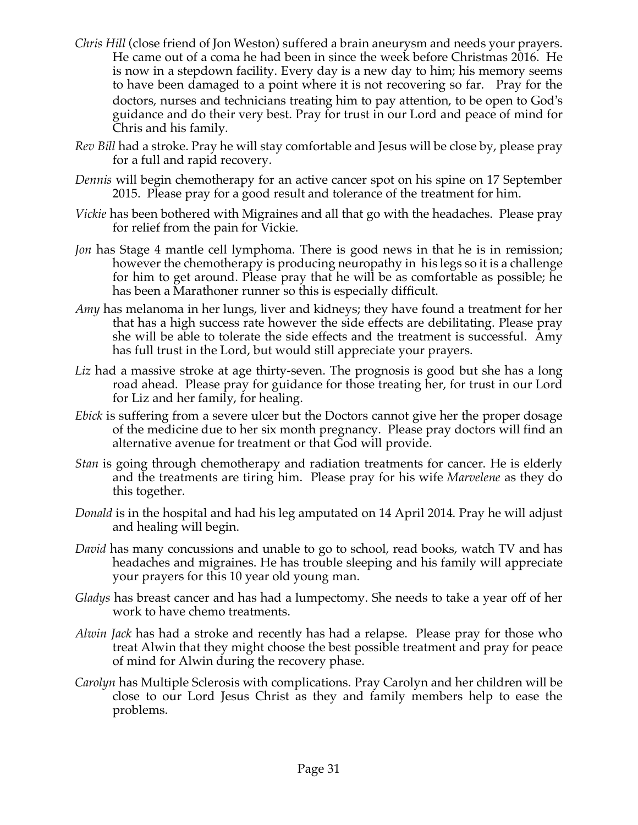- *Chris Hill* (close friend of Jon Weston) suffered a brain aneurysm and needs your prayers. He came out of a coma he had been in since the week before Christmas 2016. He is now in a stepdown facility. Every day is a new day to him; his memory seems to have been damaged to a point where it is not recovering so far. Pray for the doctors, nurses and technicians treating him to pay attention, to be open to God's guidance and do their very best. Pray for trust in our Lord and peace of mind for Chris and his family.
- *Rev Bill* had a stroke. Pray he will stay comfortable and Jesus will be close by, please pray for a full and rapid recovery.
- *Dennis* will begin chemotherapy for an active cancer spot on his spine on 17 September 2015. Please pray for a good result and tolerance of the treatment for him.
- *Vickie* has been bothered with Migraines and all that go with the headaches. Please pray for relief from the pain for Vickie.
- *Jon* has Stage 4 mantle cell lymphoma. There is good news in that he is in remission; however the chemotherapy is producing neuropathy in his legs so it is a challenge for him to get around. Please pray that he will be as comfortable as possible; he has been a Marathoner runner so this is especially difficult.
- *Amy* has melanoma in her lungs, liver and kidneys; they have found a treatment for her that has a high success rate however the side effects are debilitating. Please pray she will be able to tolerate the side effects and the treatment is successful. Amy has full trust in the Lord, but would still appreciate your prayers.
- *Liz* had a massive stroke at age thirty-seven. The prognosis is good but she has a long road ahead. Please pray for guidance for those treating her, for trust in our Lord for Liz and her family, for healing.
- *Ebick* is suffering from a severe ulcer but the Doctors cannot give her the proper dosage of the medicine due to her six month pregnancy. Please pray doctors will find an alternative avenue for treatment or that God will provide.
- *Stan* is going through chemotherapy and radiation treatments for cancer. He is elderly and the treatments are tiring him. Please pray for his wife *Marvelene* as they do this together.
- *Donald* is in the hospital and had his leg amputated on 14 April 2014. Pray he will adjust and healing will begin.
- *David* has many concussions and unable to go to school, read books, watch TV and has headaches and migraines. He has trouble sleeping and his family will appreciate your prayers for this 10 year old young man.
- *Gladys* has breast cancer and has had a lumpectomy. She needs to take a year off of her work to have chemo treatments.
- *Alwin Jack* has had a stroke and recently has had a relapse. Please pray for those who treat Alwin that they might choose the best possible treatment and pray for peace of mind for Alwin during the recovery phase.
- *Carolyn* has Multiple Sclerosis with complications. Pray Carolyn and her children will be close to our Lord Jesus Christ as they and family members help to ease the problems.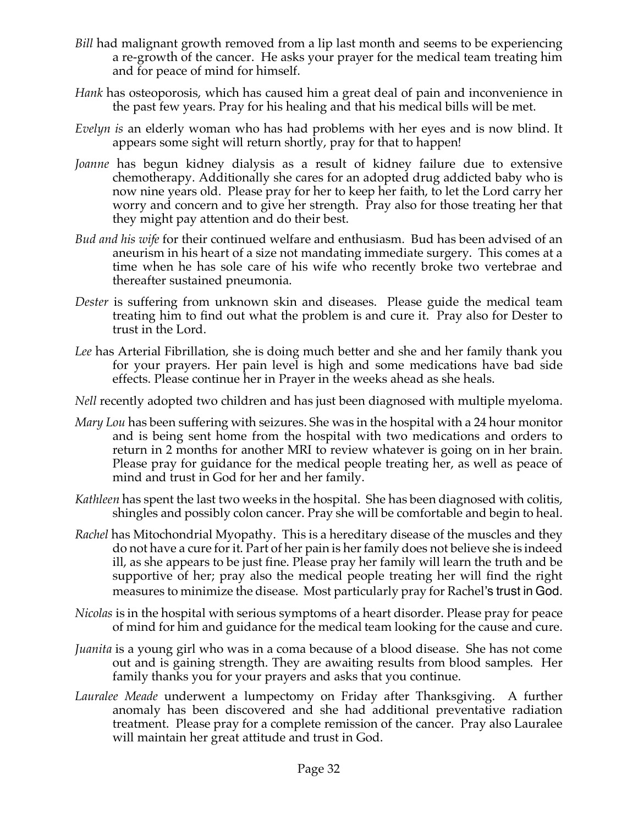- *Bill* had malignant growth removed from a lip last month and seems to be experiencing a re-growth of the cancer. He asks your prayer for the medical team treating him and for peace of mind for himself.
- *Hank* has osteoporosis, which has caused him a great deal of pain and inconvenience in the past few years. Pray for his healing and that his medical bills will be met.
- *Evelyn is* an elderly woman who has had problems with her eyes and is now blind. It appears some sight will return shortly, pray for that to happen!
- *Joanne* has begun kidney dialysis as a result of kidney failure due to extensive chemotherapy. Additionally she cares for an adopted drug addicted baby who is now nine years old. Please pray for her to keep her faith, to let the Lord carry her worry and concern and to give her strength. Pray also for those treating her that they might pay attention and do their best.
- *Bud and his wife* for their continued welfare and enthusiasm. Bud has been advised of an aneurism in his heart of a size not mandating immediate surgery. This comes at a time when he has sole care of his wife who recently broke two vertebrae and thereafter sustained pneumonia.
- *Dester* is suffering from unknown skin and diseases. Please guide the medical team treating him to find out what the problem is and cure it. Pray also for Dester to trust in the Lord.
- *Lee* has Arterial Fibrillation, she is doing much better and she and her family thank you for your prayers. Her pain level is high and some medications have bad side effects. Please continue her in Prayer in the weeks ahead as she heals.
- *Nell* recently adopted two children and has just been diagnosed with multiple myeloma.
- *Mary Lou* has been suffering with seizures. She was in the hospital with a 24 hour monitor and is being sent home from the hospital with two medications and orders to return in 2 months for another MRI to review whatever is going on in her brain. Please pray for guidance for the medical people treating her, as well as peace of mind and trust in God for her and her family.
- *Kathleen* has spent the last two weeks in the hospital. She has been diagnosed with colitis, shingles and possibly colon cancer. Pray she will be comfortable and begin to heal.
- *Rachel* has Mitochondrial Myopathy. This is a hereditary disease of the muscles and they do not have a cure for it. Part of her pain is her family does not believe she is indeed ill, as she appears to be just fine. Please pray her family will learn the truth and be supportive of her; pray also the medical people treating her will find the right measures to minimize the disease. Most particularly pray for Rachel's trust in God.
- *Nicolas* is in the hospital with serious symptoms of a heart disorder. Please pray for peace of mind for him and guidance for the medical team looking for the cause and cure.
- *Juanita* is a young girl who was in a coma because of a blood disease. She has not come out and is gaining strength. They are awaiting results from blood samples. Her family thanks you for your prayers and asks that you continue.
- *Lauralee Meade* underwent a lumpectomy on Friday after Thanksgiving. A further anomaly has been discovered and she had additional preventative radiation treatment. Please pray for a complete remission of the cancer. Pray also Lauralee will maintain her great attitude and trust in God.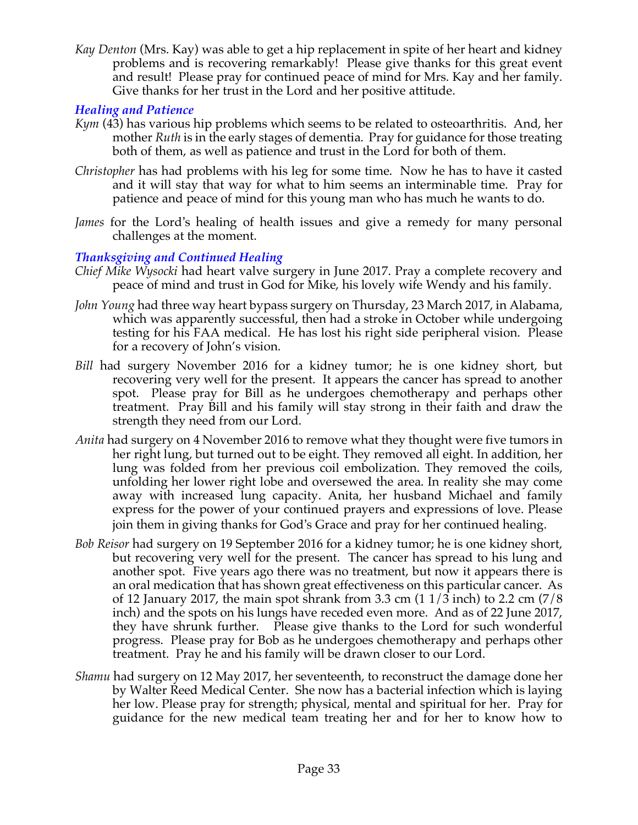*Kay Denton* (Mrs. Kay) was able to get a hip replacement in spite of her heart and kidney problems and is recovering remarkably! Please give thanks for this great event and result! Please pray for continued peace of mind for Mrs. Kay and her family. Give thanks for her trust in the Lord and her positive attitude.

## *Healing and Patience*

- *Kym* (43) has various hip problems which seems to be related to osteoarthritis. And, her mother *Ruth* is in the early stages of dementia. Pray for guidance for those treating both of them, as well as patience and trust in the Lord for both of them.
- *Christopher* has had problems with his leg for some time. Now he has to have it casted and it will stay that way for what to him seems an interminable time. Pray for patience and peace of mind for this young man who has much he wants to do.
- *James* for the Lord's healing of health issues and give a remedy for many personal challenges at the moment.

#### *Thanksgiving and Continued Healing*

- *Chief Mike Wysocki* had heart valve surgery in June 2017. Pray a complete recovery and peace of mind and trust in God for Mike, his lovely wife Wendy and his family.
- *John Young* had three way heart bypass surgery on Thursday, 23 March 2017, in Alabama, which was apparently successful, then had a stroke in October while undergoing testing for his FAA medical. He has lost his right side peripheral vision. Please for a recovery of John's vision.
- *Bill* had surgery November 2016 for a kidney tumor; he is one kidney short, but recovering very well for the present. It appears the cancer has spread to another spot. Please pray for Bill as he undergoes chemotherapy and perhaps other treatment. Pray Bill and his family will stay strong in their faith and draw the strength they need from our Lord.
- *Anita* had surgery on 4 November 2016 to remove what they thought were five tumors in her right lung, but turned out to be eight. They removed all eight. In addition, her lung was folded from her previous coil embolization. They removed the coils, unfolding her lower right lobe and oversewed the area. In reality she may come away with increased lung capacity. Anita, her husband Michael and family express for the power of your continued prayers and expressions of love. Please join them in giving thanks for God's Grace and pray for her continued healing.
- *Bob Reisor* had surgery on 19 September 2016 for a kidney tumor; he is one kidney short, but recovering very well for the present. The cancer has spread to his lung and another spot. Five years ago there was no treatment, but now it appears there is an oral medication that has shown great effectiveness on this particular cancer. As of 12 January 2017, the main spot shrank from 3.3 cm  $(11/3 \text{ inch})$  to 2.2 cm  $(7/8 \text{ ft})$ inch) and the spots on his lungs have receded even more. And as of 22 June 2017, they have shrunk further. Please give thanks to the Lord for such wonderful progress. Please pray for Bob as he undergoes chemotherapy and perhaps other treatment. Pray he and his family will be drawn closer to our Lord.
- *Shamu* had surgery on 12 May 2017, her seventeenth, to reconstruct the damage done her by Walter Reed Medical Center. She now has a bacterial infection which is laying her low. Please pray for strength; physical, mental and spiritual for her. Pray for guidance for the new medical team treating her and for her to know how to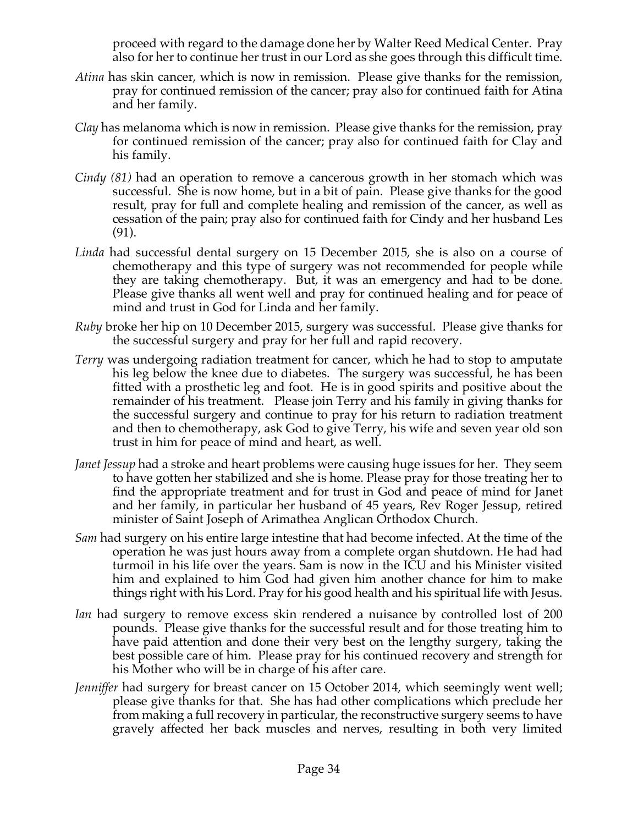proceed with regard to the damage done her by Walter Reed Medical Center. Pray also for her to continue her trust in our Lord as she goes through this difficult time.

- *Atina* has skin cancer, which is now in remission. Please give thanks for the remission, pray for continued remission of the cancer; pray also for continued faith for Atina and her family.
- *Clay* has melanoma which is now in remission. Please give thanks for the remission, pray for continued remission of the cancer; pray also for continued faith for Clay and his family.
- *Cindy (81)* had an operation to remove a cancerous growth in her stomach which was successful. She is now home, but in a bit of pain. Please give thanks for the good result, pray for full and complete healing and remission of the cancer, as well as cessation of the pain; pray also for continued faith for Cindy and her husband Les (91).
- *Linda* had successful dental surgery on 15 December 2015, she is also on a course of chemotherapy and this type of surgery was not recommended for people while they are taking chemotherapy. But, it was an emergency and had to be done. Please give thanks all went well and pray for continued healing and for peace of mind and trust in God for Linda and her family.
- *Ruby* broke her hip on 10 December 2015, surgery was successful. Please give thanks for the successful surgery and pray for her full and rapid recovery.
- *Terry* was undergoing radiation treatment for cancer, which he had to stop to amputate his leg below the knee due to diabetes. The surgery was successful, he has been fitted with a prosthetic leg and foot. He is in good spirits and positive about the remainder of his treatment. Please join Terry and his family in giving thanks for the successful surgery and continue to pray for his return to radiation treatment and then to chemotherapy, ask God to give Terry, his wife and seven year old son trust in him for peace of mind and heart, as well.
- *Janet Jessup* had a stroke and heart problems were causing huge issues for her. They seem to have gotten her stabilized and she is home. Please pray for those treating her to find the appropriate treatment and for trust in God and peace of mind for Janet and her family, in particular her husband of 45 years, Rev Roger Jessup, retired minister of Saint Joseph of Arimathea Anglican Orthodox Church.
- *Sam* had surgery on his entire large intestine that had become infected. At the time of the operation he was just hours away from a complete organ shutdown. He had had turmoil in his life over the years. Sam is now in the ICU and his Minister visited him and explained to him God had given him another chance for him to make things right with his Lord. Pray for his good health and his spiritual life with Jesus.
- *Ian* had surgery to remove excess skin rendered a nuisance by controlled lost of 200 pounds. Please give thanks for the successful result and for those treating him to have paid attention and done their very best on the lengthy surgery, taking the best possible care of him. Please pray for his continued recovery and strength for his Mother who will be in charge of his after care.
- *Jenniffer* had surgery for breast cancer on 15 October 2014, which seemingly went well; please give thanks for that. She has had other complications which preclude her from making a full recovery in particular, the reconstructive surgery seems to have gravely affected her back muscles and nerves, resulting in both very limited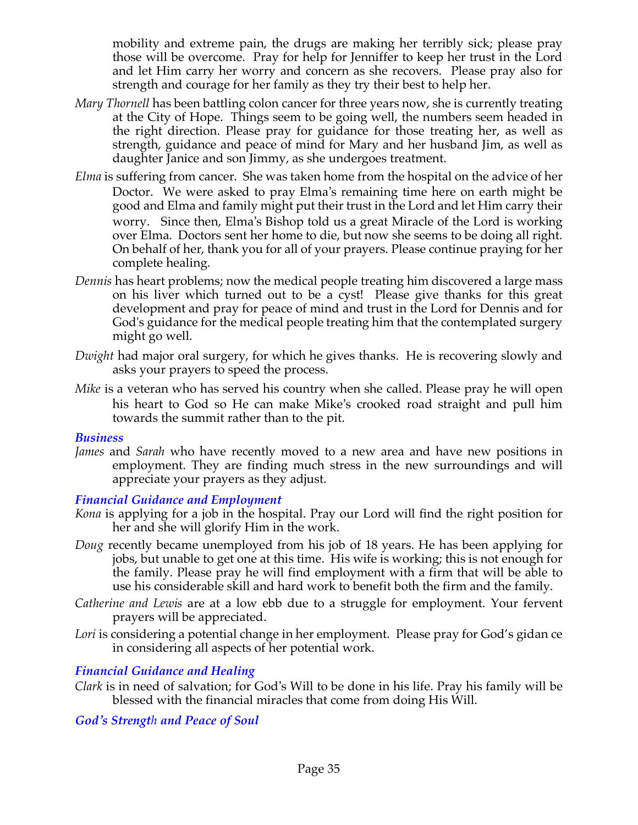mobility and extreme pain, the drugs are making her terribly sick; please pray those will be overcome. Pray for help for Jenniffer to keep her trust in the Lord and let Him carry her worry and concern as she recovers. Please pray also for strength and courage for her family as they try their best to help her.

- *Mary Thornell* has been battling colon cancer for three years now, she is currently treating at the City of Hope. Things seem to be going well, the numbers seem headed in the right direction. Please pray for guidance for those treating her, as well as strength, guidance and peace of mind for Mary and her husband Jim, as well as daughter Janice and son Jimmy, as she undergoes treatment.
- *Elma* is suffering from cancer. She was taken home from the hospital on the advice of her Doctor. We were asked to pray Elma's remaining time here on earth might be good and Elma and family might put their trust in the Lord and let Him carry their worry. Since then, Elma's Bishop told us a great Miracle of the Lord is working over Elma. Doctors sent her home to die, but now she seems to be doing all right. On behalf of her, thank you for all of your prayers. Please continue praying for her complete healing.
- *Dennis* has heart problems; now the medical people treating him discovered a large mass on his liver which turned out to be a cyst! Please give thanks for this great development and pray for peace of mind and trust in the Lord for Dennis and for God's guidance for the medical people treating him that the contemplated surgery might go well.
- *Dwight* had major oral surgery, for which he gives thanks. He is recovering slowly and asks your prayers to speed the process.
- *Mike* is a veteran who has served his country when she called. Please pray he will open his heart to God so He can make Mike's crooked road straight and pull him towards the summit rather than to the pit.

#### *Business*

*James* and *Sarah* who have recently moved to a new area and have new positions in employment. They are finding much stress in the new surroundings and will appreciate your prayers as they adjust.

#### *Financial Guidance and Employment*

- *Kona* is applying for a job in the hospital. Pray our Lord will find the right position for her and she will glorify Him in the work.
- *Doug* recently became unemployed from his job of 18 years. He has been applying for jobs, but unable to get one at this time. His wife is working; this is not enough for the family. Please pray he will find employment with a firm that will be able to use his considerable skill and hard work to benefit both the firm and the family.
- *Catherine and Lewis* are at a low ebb due to a struggle for employment. Your fervent prayers will be appreciated.
- Lori is considering a potential change in her employment. Please pray for God's gidan ce in considering all aspects of her potential work.

## *Financial Guidance and Healing*

*Clark* is in need of salvation; for God's Will to be done in his life. Pray his family will be blessed with the financial miracles that come from doing His Will.

## *God's Strength and Peace of Soul*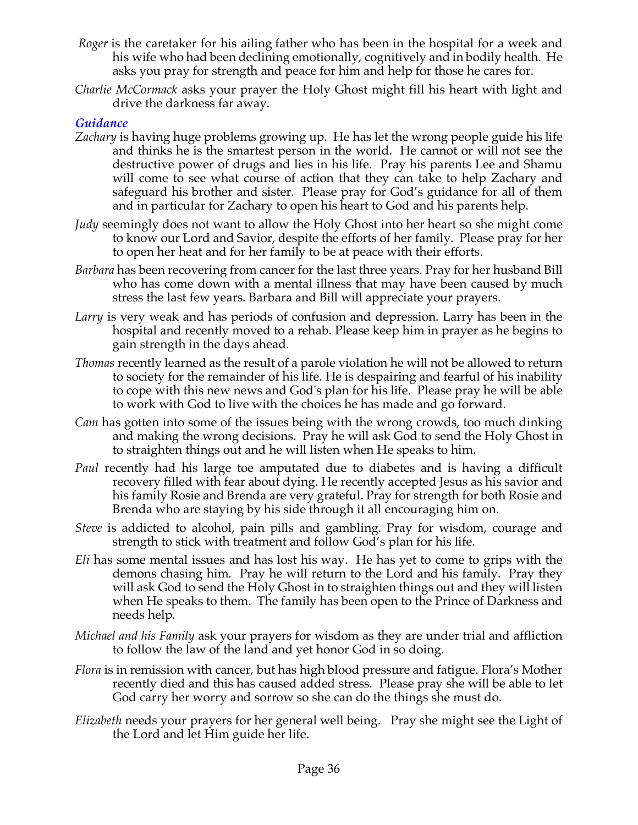- *Roger* is the caretaker for his ailing father who has been in the hospital for a week and his wife who had been declining emotionally, cognitively and in bodily health. He asks you pray for strength and peace for him and help for those he cares for.
- *Charlie McCormack* asks your prayer the Holy Ghost might fill his heart with light and drive the darkness far away.

## *Guidance*

- *Zachary* is having huge problems growing up. He has let the wrong people guide his life and thinks he is the smartest person in the world. He cannot or will not see the destructive power of drugs and lies in his life. Pray his parents Lee and Shamu will come to see what course of action that they can take to help Zachary and safeguard his brother and sister. Please pray for God's guidance for all of them and in particular for Zachary to open his heart to God and his parents help.
- *Judy* seemingly does not want to allow the Holy Ghost into her heart so she might come to know our Lord and Savior, despite the efforts of her family. Please pray for her to open her heat and for her family to be at peace with their efforts.
- *Barbara* has been recovering from cancer for the last three years. Pray for her husband Bill who has come down with a mental illness that may have been caused by much stress the last few years. Barbara and Bill will appreciate your prayers.
- *Larry* is very weak and has periods of confusion and depression. Larry has been in the hospital and recently moved to a rehab. Please keep him in prayer as he begins to gain strength in the days ahead.
- *Thomas* recently learned as the result of a parole violation he will not be allowed to return to society for the remainder of his life. He is despairing and fearful of his inability to cope with this new news and God's plan for his life. Please pray he will be able to work with God to live with the choices he has made and go forward.
- *Cam* has gotten into some of the issues being with the wrong crowds, too much dinking and making the wrong decisions. Pray he will ask God to send the Holy Ghost in to straighten things out and he will listen when He speaks to him.
- *Paul* recently had his large toe amputated due to diabetes and is having a difficult recovery filled with fear about dying. He recently accepted Jesus as his savior and his family Rosie and Brenda are very grateful. Pray for strength for both Rosie and Brenda who are staying by his side through it all encouraging him on.
- *Steve* is addicted to alcohol, pain pills and gambling. Pray for wisdom, courage and strength to stick with treatment and follow God's plan for his life.
- *Eli* has some mental issues and has lost his way. He has yet to come to grips with the demons chasing him. Pray he will return to the Lord and his family. Pray they will ask God to send the Holy Ghost in to straighten things out and they will listen when He speaks to them. The family has been open to the Prince of Darkness and needs help.
- *Michael and his Family* ask your prayers for wisdom as they are under trial and affliction to follow the law of the land and yet honor God in so doing.
- *Flora* is in remission with cancer, but has high blood pressure and fatigue. Flora's Mother recently died and this has caused added stress. Please pray she will be able to let God carry her worry and sorrow so she can do the things she must do.
- *Elizabeth* needs your prayers for her general well being. Pray she might see the Light of the Lord and let Him guide her life.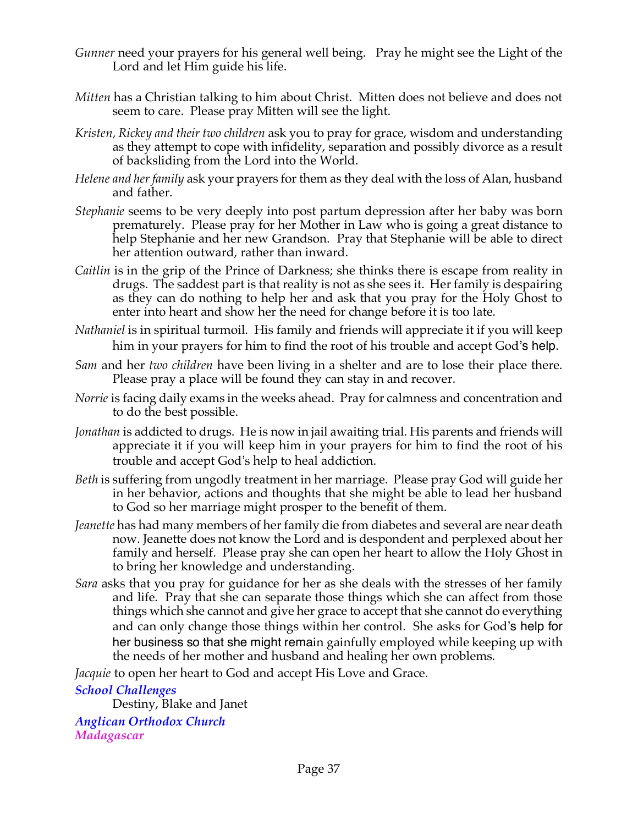- *Gunner* need your prayers for his general well being. Pray he might see the Light of the Lord and let Him guide his life.
- *Mitten* has a Christian talking to him about Christ. Mitten does not believe and does not seem to care. Please pray Mitten will see the light.
- *Kristen, Rickey and their two children* ask you to pray for grace, wisdom and understanding as they attempt to cope with infidelity, separation and possibly divorce as a result of backsliding from the Lord into the World.
- *Helene and her family* ask your prayers for them as they deal with the loss of Alan, husband and father.
- *Stephanie* seems to be very deeply into post partum depression after her baby was born prematurely. Please pray for her Mother in Law who is going a great distance to help Stephanie and her new Grandson. Pray that Stephanie will be able to direct her attention outward, rather than inward.
- *Caitlin* is in the grip of the Prince of Darkness; she thinks there is escape from reality in drugs. The saddest part is that reality is not as she sees it. Her family is despairing as they can do nothing to help her and ask that you pray for the Holy Ghost to enter into heart and show her the need for change before it is too late.
- *Nathaniel* is in spiritual turmoil. His family and friends will appreciate it if you will keep him in your prayers for him to find the root of his trouble and accept God's help.
- *Sam* and her *two children* have been living in a shelter and are to lose their place there. Please pray a place will be found they can stay in and recover.
- *Norrie* is facing daily exams in the weeks ahead. Pray for calmness and concentration and to do the best possible.
- *Jonathan* is addicted to drugs. He is now in jail awaiting trial. His parents and friends will appreciate it if you will keep him in your prayers for him to find the root of his trouble and accept God's help to heal addiction.
- *Beth* is suffering from ungodly treatment in her marriage. Please pray God will guide her in her behavior, actions and thoughts that she might be able to lead her husband to God so her marriage might prosper to the benefit of them.
- *Jeanette* has had many members of her family die from diabetes and several are near death now. Jeanette does not know the Lord and is despondent and perplexed about her family and herself. Please pray she can open her heart to allow the Holy Ghost in to bring her knowledge and understanding.
- *Sara* asks that you pray for guidance for her as she deals with the stresses of her family and life. Pray that she can separate those things which she can affect from those things which she cannot and give her grace to accept that she cannot do everything and can only change those things within her control. She asks for God's help for her business so that she might remain gainfully employed while keeping up with the needs of her mother and husband and healing her own problems.

*Jacquie* to open her heart to God and accept His Love and Grace.

## *School Challenges*

Destiny, Blake and Janet

*Anglican Orthodox Church Madagascar*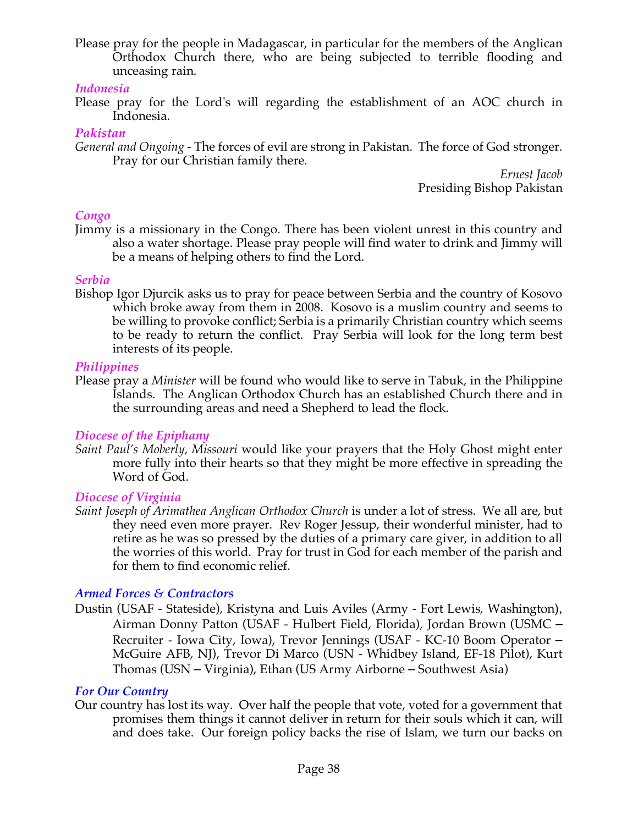Please pray for the people in Madagascar, in particular for the members of the Anglican Orthodox Church there, who are being subjected to terrible flooding and unceasing rain.

#### *Indonesia*

Please pray for the Lord's will regarding the establishment of an AOC church in Indonesia.

#### *Pakistan*

*General and Ongoing -* The forces of evil are strong in Pakistan. The force of God stronger. Pray for our Christian family there.

> *Ernest Jacob* Presiding Bishop Pakistan

## *Congo*

Jimmy is a missionary in the Congo. There has been violent unrest in this country and also a water shortage. Please pray people will find water to drink and Jimmy will be a means of helping others to find the Lord.

#### *Serbia*

Bishop Igor Djurcik asks us to pray for peace between Serbia and the country of Kosovo which broke away from them in 2008. Kosovo is a muslim country and seems to be willing to provoke conflict; Serbia is a primarily Christian country which seems to be ready to return the conflict. Pray Serbia will look for the long term best interests of its people.

#### *Philippines*

Please pray a *Minister* will be found who would like to serve in Tabuk, in the Philippine Islands. The Anglican Orthodox Church has an established Church there and in the surrounding areas and need a Shepherd to lead the flock*.*

## *Diocese of the Epiphany*

*Saint Paul's Moberly, Missouri* would like your prayers that the Holy Ghost might enter more fully into their hearts so that they might be more effective in spreading the Word of God.

## *Diocese of Virginia*

*Saint Joseph of Arimathea Anglican Orthodox Church* is under a lot of stress. We all are, but they need even more prayer. Rev Roger Jessup, their wonderful minister, had to retire as he was so pressed by the duties of a primary care giver, in addition to all the worries of this world. Pray for trust in God for each member of the parish and for them to find economic relief.

## *Armed Forces & Contractors*

Dustin (USAF - Stateside), Kristyna and Luis Aviles (Army - Fort Lewis, Washington), Airman Donny Patton (USAF - Hulbert Field, Florida), Jordan Brown (USMC – Recruiter - Iowa City, Iowa), Trevor Jennings (USAF - KC-10 Boom Operator – McGuire AFB, NJ), Trevor Di Marco (USN - Whidbey Island, EF-18 Pilot), Kurt Thomas (USN – Virginia), Ethan (US Army Airborne – Southwest Asia)

#### *For Our Country*

Our country has lost its way. Over half the people that vote, voted for a government that promises them things it cannot deliver in return for their souls which it can, will and does take. Our foreign policy backs the rise of Islam, we turn our backs on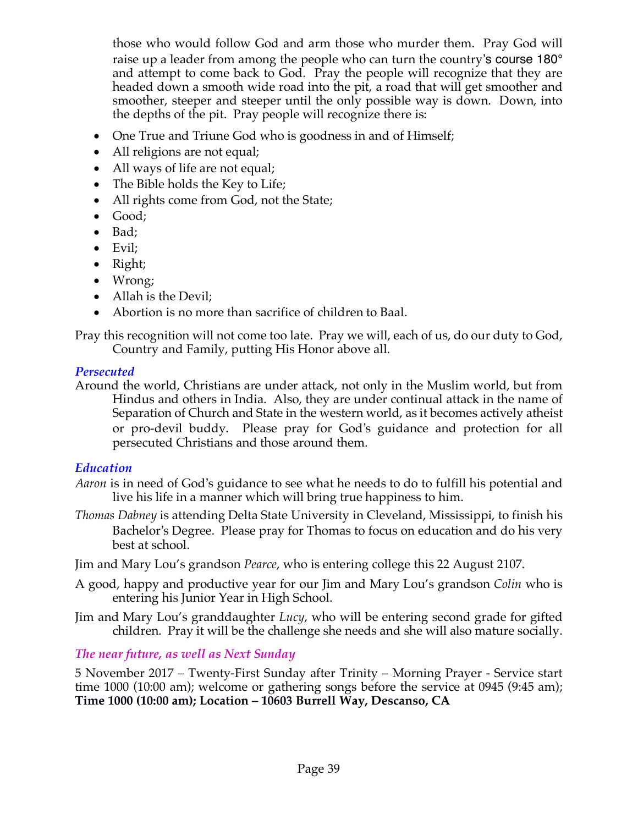those who would follow God and arm those who murder them. Pray God will raise up a leader from among the people who can turn the country's course 180<sup>°</sup> and attempt to come back to God. Pray the people will recognize that they are headed down a smooth wide road into the pit, a road that will get smoother and smoother, steeper and steeper until the only possible way is down. Down, into the depths of the pit. Pray people will recognize there is:

- One True and Triune God who is goodness in and of Himself;
- All religions are not equal;
- All ways of life are not equal;
- The Bible holds the Key to Life;
- All rights come from God, not the State;
- Good;
- Bad;
- Evil;
- Right;
- Wrong;
- Allah is the Devil;
- Abortion is no more than sacrifice of children to Baal.

Pray this recognition will not come too late. Pray we will, each of us, do our duty to God, Country and Family, putting His Honor above all.

# *Persecuted*

Around the world, Christians are under attack, not only in the Muslim world, but from Hindus and others in India. Also, they are under continual attack in the name of Separation of Church and State in the western world, as it becomes actively atheist or pro-devil buddy. Please pray for God's guidance and protection for all persecuted Christians and those around them.

# *Education*

- *Aaron* is in need of God's guidance to see what he needs to do to fulfill his potential and live his life in a manner which will bring true happiness to him.
- *Thomas Dabney* is attending Delta State University in Cleveland, Mississippi, to finish his Bachelor's Degree. Please pray for Thomas to focus on education and do his very best at school.

Jim and Mary Lou's grandson *Pearce*, who is entering college this 22 August 2107.

- A good, happy and productive year for our Jim and Mary Lou's grandson *Colin* who is entering his Junior Year in High School.
- Jim and Mary Lou's granddaughter *Lucy*, who will be entering second grade for gifted children. Pray it will be the challenge she needs and she will also mature socially.

# *The near future, as well as Next Sunday*

5 November 2017 – Twenty-First Sunday after Trinity – Morning Prayer - Service start time 1000 (10:00 am); welcome or gathering songs before the service at 0945 (9:45 am); **Time 1000 (10:00 am); Location – 10603 Burrell Way, Descanso, CA**